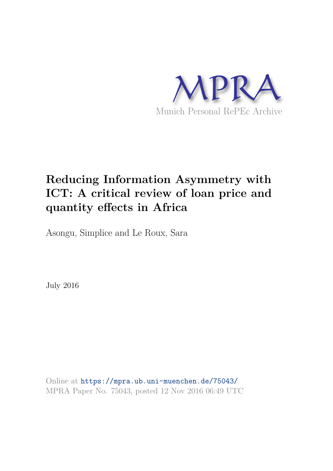

# **Reducing Information Asymmetry with ICT: A critical review of loan price and quantity effects in Africa**

Asongu, Simplice and Le Roux, Sara

July 2016

Online at https://mpra.ub.uni-muenchen.de/75043/ MPRA Paper No. 75043, posted 12 Nov 2016 06:49 UTC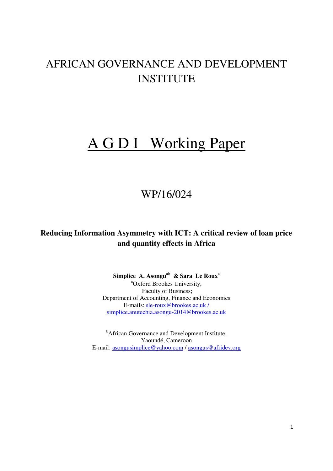## AFRICAN GOVERNANCE AND DEVELOPMENT INSTITUTE

# A G D I Working Paper

## WP/16/024

### **Reducing Information Asymmetry with ICT: A critical review of loan price and quantity effects in Africa**

**Simplice A. Asonguab & Sara Le Roux<sup>a</sup>** <sup>a</sup>Oxford Brookes University, Faculty of Business; Department of Accounting, Finance and Economics E-mails: [sle-roux@brookes.ac.uk /](mailto:sle-roux@brookes.ac.uk%20/)  [simplice.anutechia.asongu-2014@brookes.ac.uk](mailto:simplice.anutechia.asongu-2014@brookes.ac.uk)

<sup>b</sup>African Governance and Development Institute, Yaoundé, Cameroon E-mail: [asongusimplice@yahoo.com](mailto:asongusimplice@yahoo.com) / [asongus@afridev.org](mailto:asongus@afridev.org)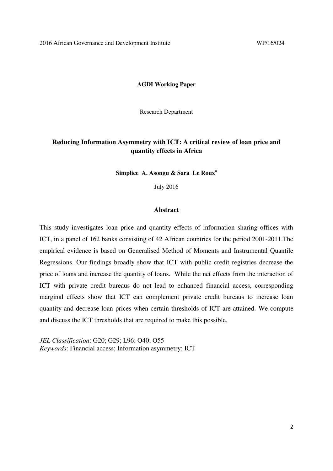#### **AGDI Working Paper**

Research Department

#### **Reducing Information Asymmetry with ICT: A critical review of loan price and quantity effects in Africa**

**Simplice A. Asongu & Sara Le Roux<sup>a</sup>**

July 2016

#### **Abstract**

This study investigates loan price and quantity effects of information sharing offices with ICT, in a panel of 162 banks consisting of 42 African countries for the period 2001-2011.The empirical evidence is based on Generalised Method of Moments and Instrumental Quantile Regressions. Our findings broadly show that ICT with public credit registries decrease the price of loans and increase the quantity of loans. While the net effects from the interaction of ICT with private credit bureaus do not lead to enhanced financial access, corresponding marginal effects show that ICT can complement private credit bureaus to increase loan quantity and decrease loan prices when certain thresholds of ICT are attained. We compute and discuss the ICT thresholds that are required to make this possible.

*JEL Classification*: G20; G29; L96; O40; O55 *Keywords*: Financial access; Information asymmetry; ICT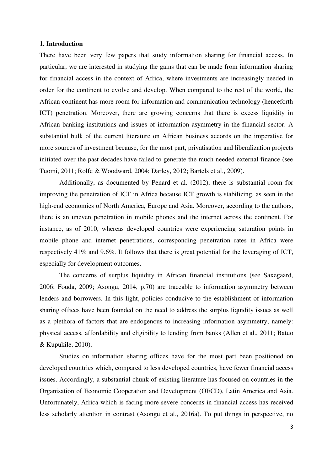#### **1. Introduction**

There have been very few papers that study information sharing for financial access. In particular, we are interested in studying the gains that can be made from information sharing for financial access in the context of Africa, where investments are increasingly needed in order for the continent to evolve and develop. When compared to the rest of the world, the African continent has more room for information and communication technology (henceforth ICT) penetration. Moreover, there are growing concerns that there is excess liquidity in African banking institutions and issues of information asymmetry in the financial sector. A substantial bulk of the current literature on African business accords on the imperative for more sources of investment because, for the most part, privatisation and liberalization projects initiated over the past decades have failed to generate the much needed external finance (see Tuomi, 2011; Rolfe & Woodward, 2004; Darley, 2012; Bartels et al., 2009).

 Additionally, as documented by Penard et al. (2012), there is substantial room for improving the penetration of ICT in Africa because ICT growth is stabilizing, as seen in the high-end economies of North America, Europe and Asia. Moreover, according to the authors, there is an uneven penetration in mobile phones and the internet across the continent. For instance, as of 2010, whereas developed countries were experiencing saturation points in mobile phone and internet penetrations, corresponding penetration rates in Africa were respectively 41% and 9.6%. It follows that there is great potential for the leveraging of ICT, especially for development outcomes.

 The concerns of surplus liquidity in African financial institutions (see Saxegaard, 2006; Fouda, 2009; Asongu, 2014, p.70) are traceable to information asymmetry between lenders and borrowers. In this light, policies conducive to the establishment of information sharing offices have been founded on the need to address the surplus liquidity issues as well as a plethora of factors that are endogenous to increasing information asymmetry, namely: physical access, affordability and eligibility to lending from banks (Allen et al., 2011; Batuo & Kupukile, 2010).

 Studies on information sharing offices have for the most part been positioned on developed countries which, compared to less developed countries, have fewer financial access issues. Accordingly, a substantial chunk of existing literature has focused on countries in the Organisation of Economic Cooperation and Development (OECD), Latin America and Asia. Unfortunately, Africa which is facing more severe concerns in financial access has received less scholarly attention in contrast (Asongu et al., 2016a). To put things in perspective, no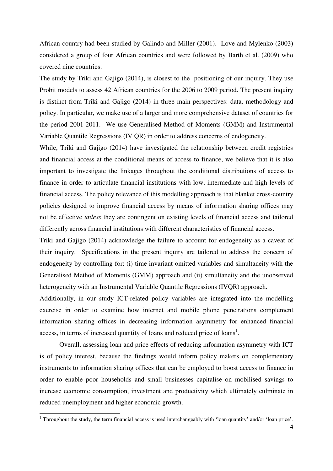African country had been studied by Galindo and Miller (2001). Love and Mylenko (2003) considered a group of four African countries and were followed by Barth et al. (2009) who covered nine countries.

The study by Triki and Gajigo (2014), is closest to the positioning of our inquiry. They use Probit models to assess 42 African countries for the 2006 to 2009 period. The present inquiry is distinct from Triki and Gajigo (2014) in three main perspectives: data, methodology and policy. In particular, we make use of a larger and more comprehensive dataset of countries for the period 2001-2011. We use Generalised Method of Moments (GMM) and Instrumental Variable Quantile Regressions (IV QR) in order to address concerns of endogeneity.

While, Triki and Gajigo (2014) have investigated the relationship between credit registries and financial access at the conditional means of access to finance, we believe that it is also important to investigate the linkages throughout the conditional distributions of access to finance in order to articulate financial institutions with low, intermediate and high levels of financial access. The policy relevance of this modelling approach is that blanket cross-country policies designed to improve financial access by means of information sharing offices may not be effective *unless* they are contingent on existing levels of financial access and tailored differently across financial institutions with different characteristics of financial access.

Triki and Gajigo (2014) acknowledge the failure to account for endogeneity as a caveat of their inquiry. Specifications in the present inquiry are tailored to address the concern of endogeneity by controlling for: (i) time invariant omitted variables and simultaneity with the Generalised Method of Moments (GMM) approach and (ii) simultaneity and the unobserved heterogeneity with an Instrumental Variable Quantile Regressions (IVQR) approach.

Additionally, in our study ICT-related policy variables are integrated into the modelling exercise in order to examine how internet and mobile phone penetrations complement information sharing offices in decreasing information asymmetry for enhanced financial access, in terms of increased quantity of loans and reduced price of loans<sup>1</sup>.

 Overall, assessing loan and price effects of reducing information asymmetry with ICT is of policy interest, because the findings would inform policy makers on complementary instruments to information sharing offices that can be employed to boost access to finance in order to enable poor households and small businesses capitalise on mobilised savings to increase economic consumption, investment and productivity which ultimately culminate in reduced unemployment and higher economic growth.

 $\overline{a}$ 

<sup>&</sup>lt;sup>1</sup> Throughout the study, the term financial access is used interchangeably with 'loan quantity' and/or 'loan price'.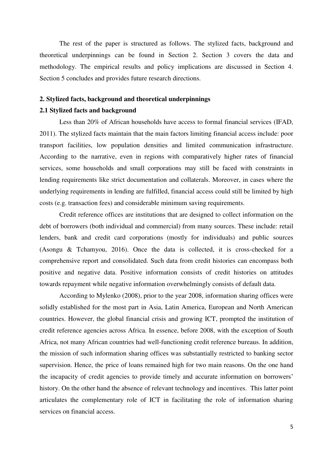The rest of the paper is structured as follows. The stylized facts, background and theoretical underpinnings can be found in Section 2. Section 3 covers the data and methodology. The empirical results and policy implications are discussed in Section 4. Section 5 concludes and provides future research directions.

#### **2. Stylized facts, background and theoretical underpinnings**

#### **2.1 Stylized facts and background**

 Less than 20% of African households have access to formal financial services (IFAD, 2011). The stylized facts maintain that the main factors limiting financial access include: poor transport facilities, low population densities and limited communication infrastructure. According to the narrative, even in regions with comparatively higher rates of financial services, some households and small corporations may still be faced with constraints in lending requirements like strict documentation and collaterals. Moreover, in cases where the underlying requirements in lending are fulfilled, financial access could still be limited by high costs (e.g. transaction fees) and considerable minimum saving requirements.

 Credit reference offices are institutions that are designed to collect information on the debt of borrowers (both individual and commercial) from many sources. These include: retail lenders, bank and credit card corporations (mostly for individuals) and public sources (Asongu & Tchamyou, 2016). Once the data is collected, it is cross-checked for a comprehensive report and consolidated. Such data from credit histories can encompass both positive and negative data. Positive information consists of credit histories on attitudes towards repayment while negative information overwhelmingly consists of default data.

 According to Mylenko (2008), prior to the year 2008, information sharing offices were solidly established for the most part in Asia, Latin America, European and North American countries. However, the global financial crisis and growing ICT, prompted the institution of credit reference agencies across Africa. In essence, before 2008, with the exception of South Africa, not many African countries had well-functioning credit reference bureaus. In addition, the mission of such information sharing offices was substantially restricted to banking sector supervision. Hence, the price of loans remained high for two main reasons. On the one hand the incapacity of credit agencies to provide timely and accurate information on borrowers' history. On the other hand the absence of relevant technology and incentives. This latter point articulates the complementary role of ICT in facilitating the role of information sharing services on financial access.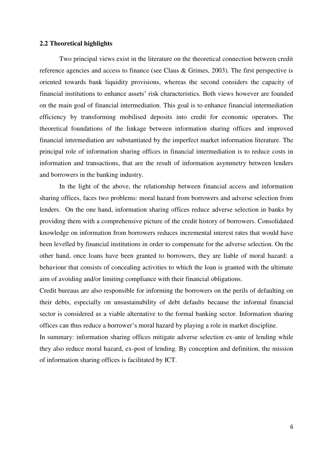#### **2.2 Theoretical highlights**

 Two principal views exist in the literature on the theoretical connection between credit reference agencies and access to finance (see Claus & Grimes, 2003). The first perspective is oriented towards bank liquidity provisions, whereas the second considers the capacity of financial institutions to enhance assets' risk characteristics. Both views however are founded on the main goal of financial intermediation. This goal is to enhance financial intermediation efficiency by transforming mobilised deposits into credit for economic operators. The theoretical foundations of the linkage between information sharing offices and improved financial intermediation are substantiated by the imperfect market information literature. The principal role of information sharing offices in financial intermediation is to reduce costs in information and transactions, that are the result of information asymmetry between lenders and borrowers in the banking industry.

 In the light of the above, the relationship between financial access and information sharing offices, faces two problems: moral hazard from borrowers and adverse selection from lenders. On the one hand, information sharing offices reduce adverse selection in banks by providing them with a comprehensive picture of the credit history of borrowers. Consolidated knowledge on information from borrowers reduces incremental interest rates that would have been levelled by financial institutions in order to compensate for the adverse selection. On the other hand, once loans have been granted to borrowers, they are liable of moral hazard: a behaviour that consists of concealing activities to which the loan is granted with the ultimate aim of avoiding and/or limiting compliance with their financial obligations.

Credit bureaus are also responsible for informing the borrowers on the perils of defaulting on their debts, especially on unsustainability of debt defaults because the informal financial sector is considered as a viable alternative to the formal banking sector. Information sharing offices can thus reduce a borrower's moral hazard by playing a role in market discipline.

In summary: information sharing offices mitigate adverse selection ex-ante of lending while they also reduce moral hazard, ex-post of lending. By conception and definition, the mission of information sharing offices is facilitated by ICT.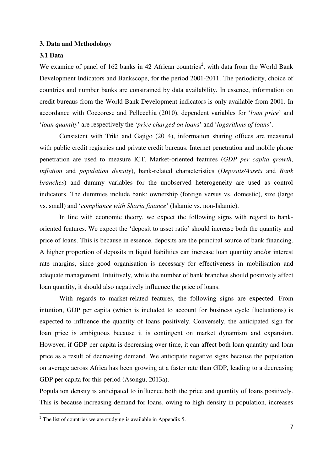#### **3. Data and Methodology**

#### **3.1 Data**

We examine of panel of 162 banks in 42 African countries<sup>2</sup>, with data from the World Bank Development Indicators and Bankscope, for the period 2001-2011. The periodicity, choice of countries and number banks are constrained by data availability. In essence, information on credit bureaus from the World Bank Development indicators is only available from 2001. In accordance with Coccorese and Pellecchia (2010), dependent variables for '*loan price*' and '*loan quantity*' are respectively the '*price charged on loans*' and '*logarithms of loans*'.

 Consistent with Triki and Gajigo (2014), information sharing offices are measured with public credit registries and private credit bureaus. Internet penetration and mobile phone penetration are used to measure ICT. Market-oriented features (*GDP per capita growth*, *inflation* and *population density*), bank-related characteristics (*Deposits/Assets* and *Bank branches*) and dummy variables for the unobserved heterogeneity are used as control indicators. The dummies include bank: ownership (foreign versus vs. domestic), size (large vs. small) and '*compliance with Sharia finance*' (Islamic vs. non-Islamic).

 In line with economic theory, we expect the following signs with regard to bankoriented features. We expect the 'deposit to asset ratio' should increase both the quantity and price of loans. This is because in essence, deposits are the principal source of bank financing. A higher proportion of deposits in liquid liabilities can increase loan quantity and/or interest rate margins, since good organisation is necessary for effectiveness in mobilisation and adequate management. Intuitively, while the number of bank branches should positively affect loan quantity, it should also negatively influence the price of loans.

 With regards to market-related features, the following signs are expected. From intuition, GDP per capita (which is included to account for business cycle fluctuations) is expected to influence the quantity of loans positively. Conversely, the anticipated sign for loan price is ambiguous because it is contingent on market dynamism and expansion. However, if GDP per capita is decreasing over time, it can affect both loan quantity and loan price as a result of decreasing demand. We anticipate negative signs because the population on average across Africa has been growing at a faster rate than GDP, leading to a decreasing GDP per capita for this period (Asongu, 2013a).

Population density is anticipated to influence both the price and quantity of loans positively. This is because increasing demand for loans, owing to high density in population, increases

 $\overline{a}$ 

 $2^2$  The list of countries we are studying is available in Appendix 5.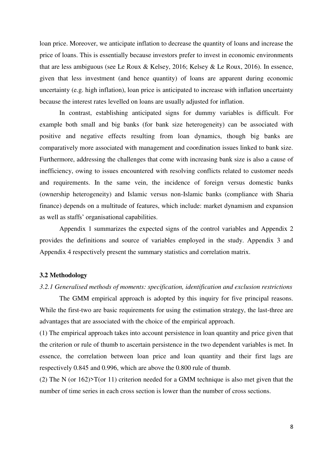loan price. Moreover, we anticipate inflation to decrease the quantity of loans and increase the price of loans. This is essentially because investors prefer to invest in economic environments that are less ambiguous (see Le Roux & Kelsey, 2016; Kelsey & Le Roux, 2016). In essence, given that less investment (and hence quantity) of loans are apparent during economic uncertainty (e.g. high inflation), loan price is anticipated to increase with inflation uncertainty because the interest rates levelled on loans are usually adjusted for inflation.

 In contrast, establishing anticipated signs for dummy variables is difficult. For example both small and big banks (for bank size heterogeneity) can be associated with positive and negative effects resulting from loan dynamics, though big banks are comparatively more associated with management and coordination issues linked to bank size. Furthermore, addressing the challenges that come with increasing bank size is also a cause of inefficiency, owing to issues encountered with resolving conflicts related to customer needs and requirements. In the same vein, the incidence of foreign versus domestic banks (ownership heterogeneity) and Islamic versus non-Islamic banks (compliance with Sharia finance) depends on a multitude of features, which include: market dynamism and expansion as well as staffs' organisational capabilities.

 Appendix 1 summarizes the expected signs of the control variables and Appendix 2 provides the definitions and source of variables employed in the study. Appendix 3 and Appendix 4 respectively present the summary statistics and correlation matrix.

#### **3.2 Methodology**

#### *3.2.1 Generalised methods of moments: specification, identification and exclusion restrictions*

 The GMM empirical approach is adopted by this inquiry for five principal reasons. While the first-two are basic requirements for using the estimation strategy, the last-three are advantages that are associated with the choice of the empirical approach.

(1) The empirical approach takes into account persistence in loan quantity and price given that the criterion or rule of thumb to ascertain persistence in the two dependent variables is met. In essence, the correlation between loan price and loan quantity and their first lags are respectively 0.845 and 0.996, which are above the 0.800 rule of thumb.

(2) The N (or 162)>T(or 11) criterion needed for a GMM technique is also met given that the number of time series in each cross section is lower than the number of cross sections.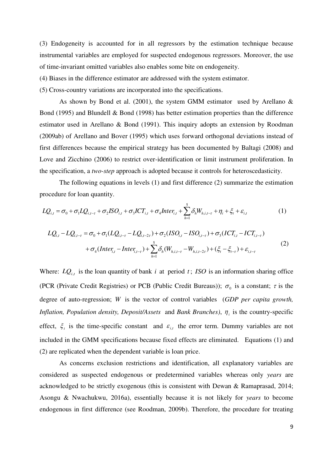(3) Endogeneity is accounted for in all regressors by the estimation technique because instrumental variables are employed for suspected endogenous regressors. Moreover, the use of time-invariant omitted variables also enables some bite on endogeneity.

(4) Biases in the difference estimator are addressed with the system estimator.

(5) Cross-country variations are incorporated into the specifications.

As shown by Bond et al. (2001), the system GMM estimator used by Arellano  $\&$ Bond (1995) and Blundell & Bond (1998) has better estimation properties than the difference estimator used in Arellano & Bond (1991). This inquiry adopts an extension by Roodman (2009ab) of Arellano and Bover (1995) which uses forward orthogonal deviations instead of first differences because the empirical strategy has been documented by Baltagi (2008) and Love and Zicchino (2006) to restrict over-identification or limit instrument proliferation. In the specification, a *two-step* approach is adopted because it controls for heteroscedasticity.

The following equations in levels (1) and first difference (2) summarize the estimation procedure for loan quantity.

$$
LQ_{i,t} = \sigma_0 + \sigma_1 LQ_{i,t-\tau} + \sigma_2 ISO_{i,t} + \sigma_3 ICT_{i,t} + \sigma_4 Inter_{i,t} + \sum_{h=1}^5 \delta_h W_{h,i,t-\tau} + \eta_i + \xi_t + \varepsilon_{i,t}
$$
 (1)

$$
LQ_{i,t} - LQ_{i,t-\tau} = \sigma_0 + \sigma_1(LQ_{i,t-\tau} - LQ_{i,t-2\tau}) + \sigma_2(ISO_{i,t} - ISO_{i,t-\tau}) + \sigma_3(ICT_{i,t} - ICT_{i,t-\tau})
$$
  
+  $\sigma_4(Inter_{i,t} - Inter_{i,t-\tau}) + \sum_{h=1}^{5} \delta_h(W_{h,i,t-\tau} - W_{h,i,t-2\tau}) + (\xi_t - \xi_{t-\tau}) + \varepsilon_{i,t-\tau}$  (2)

Where:  $LQ_{i,t}$  is the loan quantity of bank *i* at period *t*; *ISO* is an information sharing office (PCR (Private Credit Registries) or PCB (Public Credit Bureaus));  $\sigma_0$  is a constant;  $\tau$  is the degree of auto-regression; *W* is the vector of control variables (*GDP per capita growth, Inflation, Population density, Deposit/Assets* and *Bank Branches*),  $\eta_i$  is the country-specific effect,  $\xi$  is the time-specific constant and  $\varepsilon$ <sub>i,t</sub> the error term. Dummy variables are not included in the GMM specifications because fixed effects are eliminated. Equations (1) and (2) are replicated when the dependent variable is loan price.

 As concerns exclusion restrictions and identification, all explanatory variables are considered as suspected endogenous or predetermined variables whereas only *years* are acknowledged to be strictly exogenous (this is consistent with Dewan & Ramaprasad, 2014; Asongu & Nwachukwu, 2016a), essentially because it is not likely for *years* to become endogenous in first difference (see Roodman, 2009b). Therefore, the procedure for treating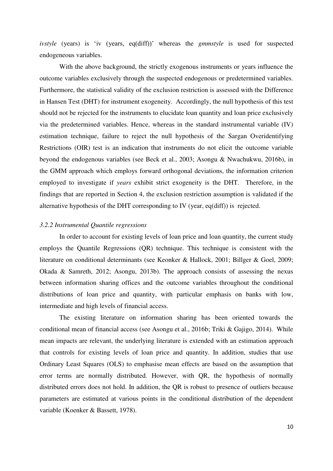*ivstyle* (years) is 'iv (years, eq(diff))' whereas the *gmmstyle* is used for suspected endogeneous variables.

 With the above background, the strictly exogenous instruments or years influence the outcome variables exclusively through the suspected endogenous or predetermined variables. Furthermore, the statistical validity of the exclusion restriction is assessed with the Difference in Hansen Test (DHT) for instrument exogeneity. Accordingly, the null hypothesis of this test should not be rejected for the instruments to elucidate loan quantity and loan price exclusively via the predetermined variables. Hence, whereas in the standard instrumental variable (IV) estimation technique, failure to reject the null hypothesis of the Sargan Overidentifying Restrictions (OIR) test is an indication that instruments do not elicit the outcome variable beyond the endogenous variables (see Beck et al., 2003; Asongu & Nwachukwu, 2016b), in the GMM approach which employs forward orthogonal deviations, the information criterion employed to investigate if *years* exhibit strict exogeneity is the DHT. Therefore, in the findings that are reported in Section 4, the exclusion restriction assumption is validated if the alternative hypothesis of the DHT corresponding to IV (year, eq(diff)) is rejected.

#### *3.2.2 Instrumental Quantile regressions*

 In order to account for existing levels of loan price and loan quantity, the current study employs the Quantile Regressions (QR) technique. This technique is consistent with the literature on conditional determinants (see Keonker & Hallock, 2001; Billger & Goel, 2009; Okada & Samreth, 2012; Asongu, 2013b). The approach consists of assessing the nexus between information sharing offices and the outcome variables throughout the conditional distributions of loan price and quantity, with particular emphasis on banks with low, intermediate and high levels of financial access.

 The existing literature on information sharing has been oriented towards the conditional mean of financial access (see Asongu et al., 2016b; Triki & Gajigo, 2014). While mean impacts are relevant, the underlying literature is extended with an estimation approach that controls for existing levels of loan price and quantity. In addition, studies that use Ordinary Least Squares (OLS) to emphasise mean effects are based on the assumption that error terms are normally distributed. However, with QR, the hypothesis of normally distributed errors does not hold. In addition, the QR is robust to presence of outliers because parameters are estimated at various points in the conditional distribution of the dependent variable (Koenker & Bassett, 1978).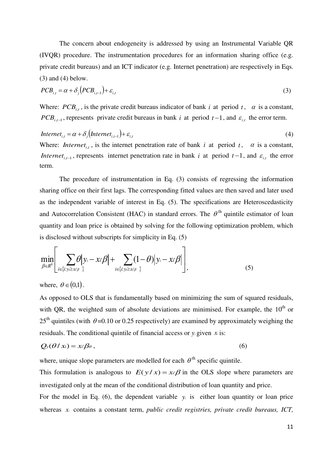The concern about endogeneity is addressed by using an Instrumental Variable QR (IVQR) procedure. The instrumentation procedures for an information sharing office (e.g. private credit bureaus) and an ICT indicator (e.g. Internet penetration) are respectively in Eqs.  $(3)$  and  $(4)$  below.

$$
PCB_{i,t} = \alpha + \delta_j \left( PCB_{i,t-1} \right) + \varepsilon_{i,t} \tag{3}
$$

Where:  $PCB_{i,t}$ , is the private credit bureaus indicator of bank *i* at period *t*,  $\alpha$  is a constant, *PCB*<sub>*i*,*t*-1</sub>, represents private credit bureaus in bank *i* at period  $t-1$ , and  $\varepsilon$ <sub>*i*,*t*</sub> the error term.

$$
Internet_{i,t} = \alpha + \delta_j \left( Internet_{i,t-1} \right) + \varepsilon_{i,t} \tag{4}
$$

Where: *Internet<sub>i,t</sub>*, is the internet penetration rate of bank *i* at period *t*,  $\alpha$  is a constant, *Internet<sub>i,t-1</sub>*, represents internet penetration rate in bank *i* at period  $t-1$ , and  $\varepsilon$ <sub>i,t</sub> the error term.

The procedure of instrumentation in Eq. (3) consists of regressing the information sharing office on their first lags. The corresponding fitted values are then saved and later used as the independent variable of interest in Eq. (5). The specifications are Heteroscedasticity and Autocorrelation Consistent (HAC) in standard errors. The  $\theta^{\text{th}}$  quintile estimator of loan quantity and loan price is obtained by solving for the following optimization problem, which is disclosed without subscripts for simplicity in Eq. (5)

$$
\min_{\beta \in R^k} \left[ \sum_{i \in \{i: y_i \geq x \mid \beta\}} \theta \middle| y_i - x_i \beta \middle| + \sum_{i \in \{i: y_i \geq x \mid \beta\}} (1 - \theta) \middle| y_i - x_i \beta \middle| \right],\tag{5}
$$

where,  $\theta \in (0,1)$ .

As opposed to OLS that is fundamentally based on minimizing the sum of squared residuals, with QR, the weighted sum of absolute deviations are minimised. For example, the  $10<sup>th</sup>$  or  $25<sup>th</sup>$  quintiles (with  $\theta$ =0.10 or 0.25 respectively) are examined by approximately weighing the residuals. The conditional quintile of financial access or *y<sup>i</sup>* given *x<sup>i</sup>* is:

$$
Q_{y}(\theta / x_{i}) = x_{i} \beta_{\theta}, \qquad (6)
$$

where, unique slope parameters are modelled for each  $\theta^{\text{th}}$  specific quintile.

This formulation is analogous to  $E(y/x) = x_i/\beta$  in the OLS slope where parameters are investigated only at the mean of the conditional distribution of loan quantity and price.

For the model in Eq. (6), the dependent variable  $y_i$  is either loan quantity or loan price whereas *xi* contains a constant term, *public credit registries, private credit bureaus, ICT,*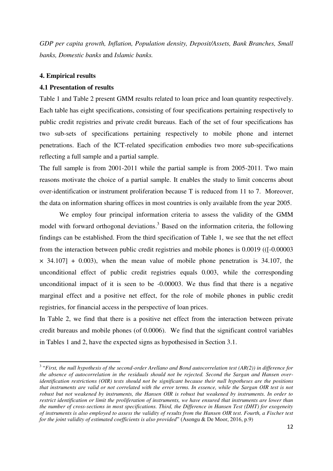*GDP per capita growth, Inflation, Population density, Deposit/Assets, Bank Branches, Small banks, Domestic banks* and *Islamic banks.* 

#### **4. Empirical results**

 $\overline{a}$ 

#### **4.1 Presentation of results**

Table 1 and Table 2 present GMM results related to loan price and loan quantity respectively. Each table has eight specifications, consisting of four specifications pertaining respectively to public credit registries and private credit bureaus. Each of the set of four specifications has two sub-sets of specifications pertaining respectively to mobile phone and internet penetrations. Each of the ICT-related specification embodies two more sub-specifications reflecting a full sample and a partial sample.

The full sample is from 2001-2011 while the partial sample is from 2005-2011. Two main reasons motivate the choice of a partial sample. It enables the study to limit concerns about over-identification or instrument proliferation because T is reduced from 11 to 7. Moreover, the data on information sharing offices in most countries is only available from the year 2005.

We employ four principal information criteria to assess the validity of the GMM model with forward orthogonal deviations.<sup>3</sup> Based on the information criteria, the following findings can be established. From the third specification of Table 1, we see that the net effect from the interaction between public credit registries and mobile phones is 0.0019 (([-0.00003  $\times$  34.107] + 0.003), when the mean value of mobile phone penetration is 34.107, the unconditional effect of public credit registries equals 0.003, while the corresponding unconditional impact of it is seen to be -0.00003. We thus find that there is a negative marginal effect and a positive net effect, for the role of mobile phones in public credit registries, for financial access in the perspective of loan prices.

In Table 2, we find that there is a positive net effect from the interaction between private credit bureaus and mobile phones (of 0.0006). We find that the significant control variables in Tables 1 and 2, have the expected signs as hypothesised in Section 3.1.

<sup>3</sup> "*First, the null hypothesis of the second-order Arellano and Bond autocorrelation test (AR(2)) in difference for the absence of autocorrelation in the residuals should not be rejected. Second the Sargan and Hansen overidentification restrictions (OIR) tests should not be significant because their null hypotheses are the positions that instruments are valid or not correlated with the error terms. In essence, while the Sargan OIR test is not robust but not weakened by instruments, the Hansen OIR is robust but weakened by instruments. In order to restrict identification or limit the proliferation of instruments, we have ensured that instruments are lower than the number of cross-sections in most specifications. Third, the Difference in Hansen Test (DHT) for exogeneity of instruments is also employed to assess the validity of results from the Hansen OIR test. Fourth, a Fischer test for the joint validity of estimated coefficients is also provided*" (Asongu & De Moor, 2016, p.9)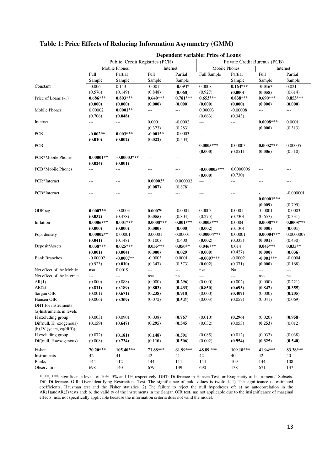|                             |                |                                |                |                          | <b>Dependent variable: Price of Loans</b> |            |                          |                |  |  |  |
|-----------------------------|----------------|--------------------------------|----------------|--------------------------|-------------------------------------------|------------|--------------------------|----------------|--|--|--|
|                             |                | Public Credit Registries (PCR) |                |                          | Private Credit Bureaus (PCB)              |            |                          |                |  |  |  |
|                             |                | Mobile Phones                  | Internet       |                          | Mobile Phones                             |            |                          | Internet       |  |  |  |
|                             | Full           | Partial                        | Full           | Partial                  | <b>Full Sample</b>                        | Partial    | Full                     | Partial        |  |  |  |
|                             | Sample         | Sample                         | Sample         | Sample                   |                                           | Sample     | Sample                   | Sample         |  |  |  |
| Constant                    | $-0.006$       | 0.143                          | $-0.001$       | $-0.094*$                | 0.0008                                    | $0.164***$ | $-0.016*$                | 0.021          |  |  |  |
|                             |                |                                |                |                          |                                           |            |                          |                |  |  |  |
|                             | (0.576)        | (0.149)                        | (0.848)        | (0.068)                  | (0.927)                                   | (0.000)    | (0.058)                  | (0.614)        |  |  |  |
| Price of Loans (-1)         | $0.686***$     | $0.803***$                     | $0.640***$     | $0.781***$               | $0.653***$                                | $0.838***$ | $0.690***$               | $0.853***$     |  |  |  |
|                             | (0.000)        | (0.000)                        | (0.000)        | (0.000)                  | (0.000)                                   | (0.000)    | (0.000)                  | (0.000)        |  |  |  |
| Mobile Phones               | 0.00002        | $0.0001**$                     | ---            | $---$                    | 0.00003                                   | $-0.00008$ | $\overline{\phantom{a}}$ | $---$          |  |  |  |
|                             | (0.706)        | (0.048)                        |                |                          | (0.663)                                   | (0.343)    |                          |                |  |  |  |
| Internet                    | ---            | ---                            | 0.0001         | $-0.0002$                | $\overline{a}$                            | $---$      | $0.0008***$              | 0.0001         |  |  |  |
|                             |                |                                | (0.373)        | (0.283)                  |                                           |            | (0.000)                  | (0.313)        |  |  |  |
| <b>PCR</b>                  | $-0.002**$     | $0.003***$                     | $-0.001**$     | $-0.0003$                | $---$                                     | ---        | $\qquad \qquad -$        | $---$          |  |  |  |
|                             | (0.010)        | (0.002)                        | (0.022)        | (0.503)                  |                                           |            |                          |                |  |  |  |
| <b>PCB</b>                  | ---            | ---                            | $---$          | $\overline{a}$           | $0.0005***$                               | 0.00003    | $0.0002***$              | 0.00005        |  |  |  |
|                             |                |                                |                |                          | (0.000)                                   | (0.851)    | (0.006)                  | (0.510)        |  |  |  |
| PCR*Mobile Phones           | $0.00001**$    | $-0.00003***$                  | ---            | $---$                    | ---                                       | ---        | $\cdots$                 | $\overline{a}$ |  |  |  |
|                             | (0.024)        | (0.001)                        |                |                          |                                           |            |                          |                |  |  |  |
| PCB*Mobile Phones           | ---            | ---                            | ---            | ---                      | $-0.000005***$                            | 0.0000006  | $\cdots$                 | ---            |  |  |  |
|                             |                |                                |                |                          | (0.000)                                   | (0.730)    |                          |                |  |  |  |
| PCR*Internet                | ---            | ---                            | $0.00002*$     | 0.000002                 | $---$                                     | ---        | $\qquad \qquad -$        | ---            |  |  |  |
|                             |                |                                | (0.087)        | (0.878)                  |                                           |            |                          |                |  |  |  |
| PCB*Internet                | ---            | ---                            | ---            | $---$                    | ---                                       | ---        |                          | $-0.000001$    |  |  |  |
|                             |                |                                |                |                          |                                           |            | $0.00001***$             |                |  |  |  |
|                             |                |                                |                |                          |                                           |            | (0.009)                  | (0.799)        |  |  |  |
| GDPpcg                      | $0.0007**$     | $-0.0003$                      | $0.0007*$      | $-0.0001$                | 0.0003                                    | 0.0001     | $-0.0001$                | $-0.0003$      |  |  |  |
|                             | (0.032)        | (0.478)                        | (0.055)        | (0.804)                  | (0.275)                                   | (0.730)    | (0.657)                  | (0.331)        |  |  |  |
| Inflation                   | $0.0006***$    | $0.001***$                     | $0.0008***$    | $0.001***$               | $0.0005***$                               | 0.0004     | $0.0008***$              | $0.0008***$    |  |  |  |
|                             | (0.000)        | (0.000)                        | (0.000)        | (0.000)                  | (0.002)                                   | (0.130)    | (0.000)                  | (0.001)        |  |  |  |
| Pop. density                | $0.00002**$    | 0.00001                        | 0.00001        | 0.00001                  | $0.00004***$                              | 0.00001    | $0.00004***$             | 0.0000007      |  |  |  |
|                             | (0.041)        | (0.148)                        | (0.100)        | (0.400)                  | (0.002)                                   | (0.333)    | (0.001)                  | (0.430)        |  |  |  |
| Deposit/Assets              | $0.038***$     | $0.025***$                     | $0.035***$     | $0.050**$                | $0.046***$                                | 0.014      | $0.045***$               | $0.035**$      |  |  |  |
|                             | (0.001)        | (0.004)                        | (0.000)        | (0.029)                  | (0.000)                                   | (0.427)    | (0.000)                  | (0.036)        |  |  |  |
| <b>Bank Branches</b>        | $-0.00002$     | $-0.0007**$                    | $-0.0003$      | 0.0001                   | $-0.0007***$                              | $-0.0002$  | $-0.001***$              | $-0.0004$      |  |  |  |
|                             | (0.923)        | (0.010)                        | (0.347)        | (0.573)                  | (0.002)                                   | (0.371)    | (0.000)                  | (0.168)        |  |  |  |
| Net effect of the Mobile    | nsa            | 0.0019                         | $\overline{a}$ | $\overline{\phantom{a}}$ | nsa                                       | Na         | ---                      | $\overline{a}$ |  |  |  |
| Net effect of the Internet  | $\overline{a}$ | ---                            | nsa            | na                       | ---                                       | ---        | nsa                      | na             |  |  |  |
| AR(1)                       | (0.000)        | (0.088)                        | (0.000)        | (0.296)                  | (0.000)                                   | (0.002)    | (0.000)                  | (0.221)        |  |  |  |
| AR(2)                       | (0.811)        | (0.189)                        | (0.803)        | (0.433)                  | (0.850)                                   | (0.693)    | (0.847)                  | (0.355)        |  |  |  |
| Sargan OIR                  | (0.001)        | (0.671)                        | (0.238)        | (0.918)                  | (0.000)                                   | (0.407)    | (0.000)                  | (0.205)        |  |  |  |
|                             |                | (0.309)                        | (0.072)        |                          |                                           | (0.057)    |                          |                |  |  |  |
| Hansen OIR                  | (0.006)        |                                |                | (0.541)                  | (0.003)                                   |            | (0.041)                  | (0.069)        |  |  |  |
| DHT for instruments         |                |                                |                |                          |                                           |            |                          |                |  |  |  |
| (a)Instruments in levels    |                |                                |                |                          |                                           |            |                          |                |  |  |  |
| H excluding group           | (0.003)        | (0.090)                        | (0.038)        | (0.767)                  | (0.010)                                   | (0.296)    | (0.020)                  | (0.958)        |  |  |  |
| Dif(null, H=exogenous)      | (0.159)        | (0.647)                        | (0.295)        | (0.345)                  | (0.032)                                   | (0.053)    | (0.253)                  | (0.012)        |  |  |  |
| (b) IV (years, $eq(diff)$ ) |                |                                |                |                          |                                           |            |                          |                |  |  |  |
| H excluding group           | (0.072)        | (0.181)                        | (0.148)        | (0.501)                  | (0.085)                                   | (0.012)    | (0.033)                  | (0.038)        |  |  |  |
| Dif(null, H=exogenous)      | (0.008)        | (0.734)                        | (0.110)        | (0.506)                  | (0.002)                                   | (0.954)    | (0.325)                  | (0.540)        |  |  |  |
| Fisher                      | $70.20***$     | 105.40***                      | 71.88***       | 61.99***                 | 48.89 ***                                 | 109.18***  | 41.94***                 | 83.38***       |  |  |  |
| Instruments                 | 42             | 41                             | 42             | 41                       | 42                                        | 40         | 42                       | 40             |  |  |  |
| <b>Banks</b>                | 144            | 112                            | 144            | 111                      | 144                                       | 109        | 144                      | 108            |  |  |  |
| Observations                | 698            | 140                            | 679            | 139                      | 690                                       | 138        | 671                      | 137            |  |  |  |

#### **Table 1: Price Effects of Reducing Information Asymmetry (GMM)**

\*, \*\*, \*\*\*: significance levels of 10%, 5% and 1% respectively. DHT: Difference in Hansen Test for Exogeneity of Instruments' Subsets. Dif: Difference. OIR: Over-identifying Restrictions Test. The significance of bold values is twofold. 1) The significance of estimated coefficients, Hausman test and the Fisher statistics. 2) The failure to reject the null hypotheses of: a) no autocorrelation in the AR(1)andAR(2) tests and; b) the validity of the instruments in the Sargan OIR test. na: not applicable due to the insignificance of marginal effects. nsa: not specifically applicable because the information criteria does not valid the model.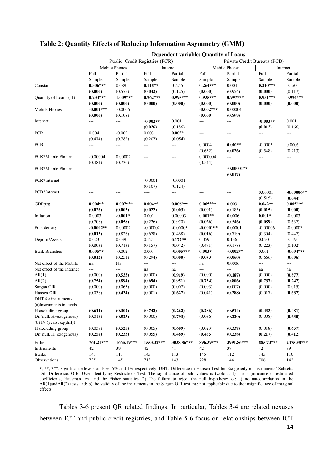|                             |                |                                |                | <b>Dependent variable: Quantity of Loans</b> |                              |                          |                          |                          |  |  |  |
|-----------------------------|----------------|--------------------------------|----------------|----------------------------------------------|------------------------------|--------------------------|--------------------------|--------------------------|--|--|--|
|                             |                | Public Credit Registries (PCR) |                |                                              | Private Credit Bureaus (PCB) |                          |                          |                          |  |  |  |
|                             |                | Mobile Phones                  |                | Internet                                     |                              | <b>Mobile Phones</b>     |                          | Internet                 |  |  |  |
|                             | Full           | Partial                        | Full           | Partial                                      | Full                         | Partial                  | <b>Full</b>              | Partial                  |  |  |  |
|                             | Sample         | Sample                         | Sample         | Sample                                       | Sample                       | Sample                   | Sample                   | Sample                   |  |  |  |
| Constant                    | $0.306***$     | 0.089                          | $0.118**$      | $-0.255$                                     | $0.264***$                   | 0.004                    | $0.210***$               | 0.150                    |  |  |  |
|                             | (0.000)        | (0.575)                        | (0.042)        | (0.125)                                      | (0.000)                      | (0.954)                  | (0.000)                  | (0.117)                  |  |  |  |
| Quantity of Loans (-1)      | $0.934***$     | $1.009***$                     | $0.962***$     | $0.995***$                                   | $0.935***$                   | $0.997***$               | $0.951***$               | $0.994***$               |  |  |  |
|                             | (0.000)        | (0.000)                        | (0.000)        | (0.000)                                      | (0.000)                      | (0.000)                  | (0.000)                  | (0.000)                  |  |  |  |
| Mobile Phones               | $-0.002***$    | $-0.0006$                      | $\overline{a}$ | $---$                                        | $-0.002***$                  | 0.00004                  | ---                      | $\scriptstyle \cdots$    |  |  |  |
|                             | (0.000)        | (0.108)                        |                |                                              | (0.000)                      | (0.899)                  |                          |                          |  |  |  |
| Internet                    | $---$          | $\cdots$                       | $-0.002**$     | 0.001                                        | $\overline{a}$               | $---$                    | $-0.003**$               | 0.001                    |  |  |  |
|                             |                |                                | (0.026)        | (0.186)                                      |                              |                          | (0.012)                  | (0.166)                  |  |  |  |
| <b>PCR</b>                  | 0.004          | $-0.002$                       | 0.003          | $0.005*$                                     | $---$                        | $---$                    | ---                      | $---$                    |  |  |  |
|                             | (0.474)        | (0.782)                        | (0.207)        | (0.054)                                      |                              |                          |                          |                          |  |  |  |
| <b>PCB</b>                  | ---            | $\overline{a}$                 | ---            | $---$                                        | 0.0004                       | $0.001**$                | $-0.0003$                | 0.0005                   |  |  |  |
|                             |                |                                |                |                                              | (0.632)                      | (0.026)                  | (0.548)                  | (0.213)                  |  |  |  |
| PCR*Mobile Phones           | $-0.00004$     | 0.00002                        | $---$          | $---$                                        | 0.000004                     | $\overline{\phantom{a}}$ | $\overline{\phantom{a}}$ | $\overline{a}$           |  |  |  |
|                             | (0.481)        | (0.736)                        |                |                                              | (0.544)                      |                          |                          |                          |  |  |  |
| PCB*Mobile Phones           | ---            | $\cdots$                       | ---            | $---$                                        | $\overline{a}$               | $-0.00001**$             | ---                      | $---$                    |  |  |  |
|                             |                |                                |                |                                              |                              | (0.017)                  |                          |                          |  |  |  |
| PCR*Internet                | ---            | $---$                          | $-0.0001$      | $-0.0001$                                    | $---$                        | ---                      | ---                      | ---                      |  |  |  |
|                             |                |                                | (0.107)        | (0.124)                                      |                              |                          |                          |                          |  |  |  |
| PCB*Internet                | ---            | $---$                          | $---$          | $\overline{a}$                               | $\cdots$                     | $---$                    | 0.00001                  | $-0.00006**$             |  |  |  |
|                             |                |                                |                |                                              |                              |                          | (0.515)                  | (0.044)                  |  |  |  |
| GDPpcg                      | $0.004**$      | $0.007***$                     | $0.004**$      | $0.006***$                                   | $0.005***$                   | 0.003                    | $0.042**$                | $0.005***$               |  |  |  |
|                             | (0.026)        | (0.003)                        | (0.022)        | (0.003)                                      | (0.001)                      | (0.185)                  | (0.015)                  | (0.000)                  |  |  |  |
| Inflation                   | 0.0003         | $-0.001*$                      | 0.001          | 0.00003                                      | $0.001**$                    | 0.0006                   | $0.001*$                 | $-0.0003$                |  |  |  |
|                             | (0.708)        | (0.058)                        | (0.226)        | (0.970)                                      | (0.026)                      | (0.546)                  | (0.089)                  | (0.637)                  |  |  |  |
| Pop. density                | $-0.0002**$    | 0.00002                        | $-0.00002$     | $-0.00005$                                   | $-0.0001**$                  | 0.00001                  | $-0.00006$               | $-0.00003$               |  |  |  |
|                             | (0.013)        | (0.826)                        | (0.678)        | (0.468)                                      | (0.016)                      | (0.719)                  | (0.304)                  | (0.447)                  |  |  |  |
| Deposit/Assets              | 0.023          | 0.039                          | 0.124          | $0.177**$                                    | 0.059                        | 0.136                    | 0.090                    | 0.119                    |  |  |  |
|                             | (0.803)        | (0.713)                        | (0.157)        | (0.042)                                      | (0.471)                      | (0.178)                  | (0.223)                  | (0.102)                  |  |  |  |
| <b>Bank Branches</b>        | $0.005**$      | $-0.002$                       | 0.001          | $-0.005***$                                  | $0.003*$                     | $-0.002**$               | 0.001                    | $-0.004***$              |  |  |  |
|                             | (0.012)        | (0.251)                        | (0.294)        | (0.000)                                      | (0.073)                      | (0.060)                  | (0.666)                  | (0.006)                  |  |  |  |
| Net effect of the Mobile    | na             | Na                             | ---            | ---                                          | na                           | 0.0006                   | $\sim$ $\sim$            | $\overline{\phantom{a}}$ |  |  |  |
| Net effect of the Internet  | $\overline{a}$ | $---$                          | na             | na                                           | $---$                        | ---                      | na                       | na                       |  |  |  |
| AR(1)                       | (0.000)        | (0.533)                        | (0.000)        | (0.919)                                      | (0.000)                      | (0.187)                  | (0.000)                  | (0.877)                  |  |  |  |
| AR(2)                       | (0.754)        | (0.894)                        | (0.694)        | (0.951)                                      | (0.734)                      | (0.806)                  | (0.737)                  | (0.247)                  |  |  |  |
| Sargan OIR                  | (0.000)        | (0.065)                        | (0.000)        | (0.007)                                      | (0.003)                      | (0.007)                  | (0.000)                  | (0.015)                  |  |  |  |
| Hansen OIR                  | (0.038)        | (0.434)                        | (0.001)        | (0.627)                                      | (0.041)                      | (0.288)                  | (0.017)                  | (0.637)                  |  |  |  |
| DHT for instruments         |                |                                |                |                                              |                              |                          |                          |                          |  |  |  |
| (a) Instruments in levels   |                |                                |                |                                              |                              |                          |                          |                          |  |  |  |
| H excluding group           | (0.611)        | (0.302)                        | (0.742)        | (0.262)                                      | (0.286)                      | (0.514)                  | (0.433)                  | (0.481)                  |  |  |  |
| Dif(null, H=exogenous)      | (0.013)        | (0.523)                        | (0.000)        | (0.793)                                      | (0.036)                      | (0.220)                  | (0.008)                  | (0.630)                  |  |  |  |
| (b) IV (years, $eq(diff)$ ) |                |                                |                |                                              |                              |                          |                          |                          |  |  |  |
| H excluding group           | (0.038)        | (0.525)                        | (0.005)        | (0.609)                                      | (0.023)                      | (0.337)                  | (0.018)                  | (0.657)                  |  |  |  |
| Dif(null, H=exogenous)      | (0.258)        | (0.233)                        | (0.055)        | (0.489)                                      | (0.455)                      | (0.238)                  | (0.217)                  | (0.412)                  |  |  |  |
|                             |                |                                |                |                                              |                              |                          |                          |                          |  |  |  |
| Fisher                      | 761.21***      | 1665.19***                     | 1553.32***     | 3038.86***                                   | 896.39***                    | 3991.86***               | 885.73***                | 2475.98***               |  |  |  |
| Instruments                 | 42             | 39                             | 42             | 41                                           | 42                           | 37                       | 42                       | 39                       |  |  |  |
| <b>Banks</b>                | 145            | 115                            | 145            | 113                                          | 145                          | 112                      | 145                      | 110                      |  |  |  |
| Observations                | 735            | 145                            | 713            | 143                                          | 728                          | 144                      | 706                      | 142                      |  |  |  |

#### **Table 2: Quantity Effects of Reducing Information Asymmetry (GMM)**

\*, \*\*, \*\*\*: significance levels of 10%, 5% and 1% respectively. DHT: Difference in Hansen Test for Exogeneity of Instruments' Subsets. Dif: Difference. OIR: Over-identifying Restrictions Test. The significance of bold values is twofold. 1) The significance of estimated coefficients, Hausman test and the Fisher statistics. 2) The failure to reject the null hypotheses of: a) no autocorrelation in the AR(1)andAR(2) tests and; b) the validity of the instruments in the Sargan OIR test. na: not applicable due to the insignificance of marginal effects.

Tables 3-6 present QR related findings. In particular, Tables 3-4 are related nexuses between ICT and public credit registries, and Table 5-6 focus on relationships between ICT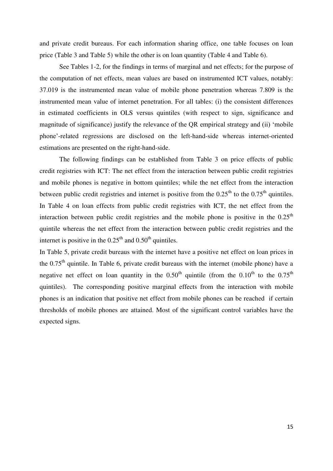and private credit bureaus. For each information sharing office, one table focuses on loan price (Table 3 and Table 5) while the other is on loan quantity (Table 4 and Table 6).

See Tables 1-2, for the findings in terms of marginal and net effects; for the purpose of the computation of net effects, mean values are based on instrumented ICT values, notably: 37.019 is the instrumented mean value of mobile phone penetration whereas 7.809 is the instrumented mean value of internet penetration. For all tables: (i) the consistent differences in estimated coefficients in OLS versus quintiles (with respect to sign, significance and magnitude of significance) justify the relevance of the QR empirical strategy and (ii) 'mobile phone'-related regressions are disclosed on the left-hand-side whereas internet-oriented estimations are presented on the right-hand-side.

 The following findings can be established from Table 3 on price effects of public credit registries with ICT: The net effect from the interaction between public credit registries and mobile phones is negative in bottom quintiles; while the net effect from the interaction between public credit registries and internet is positive from the  $0.25<sup>th</sup>$  to the  $0.75<sup>th</sup>$  quintiles. In Table 4 on loan effects from public credit registries with ICT, the net effect from the interaction between public credit registries and the mobile phone is positive in the  $0.25<sup>th</sup>$ quintile whereas the net effect from the interaction between public credit registries and the internet is positive in the  $0.25<sup>th</sup>$  and  $0.50<sup>th</sup>$  quintiles.

In Table 5, private credit bureaus with the internet have a positive net effect on loan prices in the  $0.75<sup>th</sup>$  quintile. In Table 6, private credit bureaus with the internet (mobile phone) have a negative net effect on loan quantity in the  $0.50<sup>th</sup>$  quintile (from the  $0.10<sup>th</sup>$  to the  $0.75<sup>th</sup>$ ) quintiles). The corresponding positive marginal effects from the interaction with mobile phones is an indication that positive net effect from mobile phones can be reached if certain thresholds of mobile phones are attained. Most of the significant control variables have the expected signs.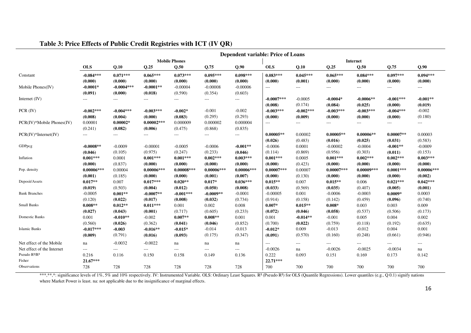|                                       |              |              |              |                      |              |              | <b>Dependent variable: Price of Loans</b> |             |              |                     |             |              |
|---------------------------------------|--------------|--------------|--------------|----------------------|--------------|--------------|-------------------------------------------|-------------|--------------|---------------------|-------------|--------------|
|                                       |              |              |              | <b>Mobile Phones</b> |              |              |                                           |             |              | Internet            |             |              |
|                                       | <b>OLS</b>   | Q.10         | Q.25         | Q.50                 | Q.75         | Q.90         | <b>OLS</b>                                | Q.10        | Q.25         | Q.50                | Q.75        | Q.90         |
| Constant                              | $-0.084***$  | $0.071***$   | $0.065***$   | $0.073***$           | $0.095***$   | $0.098***$   | $0.083***$                                | $0.045***$  | $0.065***$   | $0.084***$          | $0.097***$  | $0.094***$   |
|                                       | (0.000)      | (0.000)      | (0.000)      | (0.000)              | (0.000)      | (0.000)      | (0.000)                                   | (0.001)     | (0.000)      | (0.000)             | (0.000)     | (0.000)      |
| Mobile Phones(IV)                     | $-0.0001*$   | $-0.0004***$ | $-0.0001**$  | $-0.00004$           | $-0.00008$   | $-0.00006$   | $\cdots$                                  | $---$       | $---$        | $\qquad \qquad - -$ | $---$       | $---$        |
|                                       | (0.091)      | (0.000)      | (0.018)      | (0.590)              | (0.354)      | (0.603)      |                                           |             |              |                     |             |              |
| Internet $(IV)$                       | $---$        | $\cdots$     | $---$        | $---$                | $\cdots$     | ---          | $-0.0007***$                              | $-0.0005$   | $-0.0004*$   | $-0.0006**$         | $-0.001***$ | $-0.001**$   |
|                                       |              |              |              |                      |              |              | (0.008)                                   | (0.174)     | (0.084)      | (0.025)             | (0.000)     | (0.019)      |
| PCR (IV)                              | $-0.002***$  | $-0.004***$  | $-0.003***$  | $-0.002*$            | $-0.001$     | $-0.002$     | $-0.003***$                               | $-0.002***$ | $-0.003***$  | $-0.003***$         | $-0.004***$ | $-0.002$     |
|                                       | (0.008)      | (0.004)      | (0.000)      | (0.083)              | (0.295)      | (0.293)      | (0.000)                                   | (0.009)     | (0.000)      | (0.000)             | (0.000)     | (0.180)      |
| PCR(IV)*Mobile Phones(IV)             | 0.00001      | $0.00002*$   | $0.00002***$ | 0.000009             | 0.000002     | 0.000004     | $\cdots$                                  | $---$       | $---$        | $\qquad \qquad - -$ | $---$       | $---$        |
|                                       | (0.241)      | (0.082)      | (0.006)      | (0.475)              | (0.868)      | (0.835)      |                                           |             |              |                     |             |              |
| $PCR$ (IV)*Internet(IV)               | $\cdots$     | $---$        | $\cdots$     | $\cdots$             | $\cdots$     | $---$        | $0.00005**$                               | 0.00002     | $0.00005**$  | $0.00006**$         | $0.00007**$ | 0.00003      |
|                                       |              |              |              |                      |              |              | (0.026)                                   | (0.483)     | (0.016)      | (0.025)             | (0.031)     | (0.583)      |
| GDPpcg                                | $-0.0008**$  | $-0.0009$    | $-0.00001$   | $-0.0005$            | $-0.0006$    | $-0.001**$   | $-0.0006$                                 | 0.0001      | $-0.00002$   | $-0.0004$           | $-0.001**$  | $-0.0009$    |
|                                       | (0.046)      | (0.105)      | (0.975)      | (0.247)              | (0.233)      | (0.046)      | (0.114)                                   | (0.869)     | (0.956)      | (0.303)             | (0.011)     | (0.153)      |
| Inflation                             | $0.001***$   | 0.0001       | $0.001***$   | $0.001***$           | $0.002***$   | $0.003***$   | $0.001***$                                | 0.0005      | $0.001***$   | $0.002***$          | $0.002***$  | $0.003***$   |
|                                       | (0.000)      | (0.837)      | (0.000)      | (0.000)              | (0.000)      | (0.000)      | (0.000)                                   | (0.423)     | (0.000)      | (0.000)             | (0.000)     | (0.000)      |
| Pop. density                          | $0.00006***$ | 0.00004      | $0.00006***$ | $0.00008***$         | $0.00006***$ | $0.00006***$ | $0.00007***$                              | 0.00007     | $0.00007***$ | $0.00009***$        | $0.0001***$ | $0.00006***$ |
|                                       | (0.001)      | (0.185)      | (0.000)      | (0.000)              | (0.001)      | (0.007)      | (0.000)                                   | (0.130)     | (0.000)      | (0.000)             | (0.000)     | (0.002)      |
| Deposit/Assets                        | $0.017**$    | 0.007        | $0.017***$   | $0.020**$            | $0.017*$     | $0.036***$   | $0.015**$                                 | 0.007       | $0.015**$    | 0.006               | $0.021***$  | $0.042***$   |
|                                       | (0.019)      | (0.503)      | (0.004)      | (0.012)              | (0.050)      | (0.008)      | (0.033)                                   | (0.569)     | (0.035)      | (0.407)             | (0.005)     | (0.001)      |
| <b>Bank Branches</b>                  | $-0.0005$    | $0.001**$    | $-0.0007**$  | $-0.001***$          | $-0.0009**$  | $-0.0001$    | $-0.00005$                                | 0.001       | $-0.0006$    | $-0.0003$           | $0.0009*$   | 0.0003       |
|                                       | (0.120)      | (0.022)      | (0.017)      | (0.008)              | (0.032)      | (0.734)      | (0.914)                                   | (0.158)     | (0.142)      | (0.459)             | (0.096)     | (0.740)      |
| Small Banks                           | $0.008**$    | $0.012**$    | $0.011***$   | 0.001                | 0.002        | 0.008        | $0.007*$                                  | $0.015**$   | $0.008*$     | 0.003               | 0.003       | 0.009        |
|                                       | (0.027)      | (0.043)      | (0.001)      | (0.717)              | (0.605)      | (0.233)      | (0.072)                                   | (0.046)     | (0.058)      | (0.537)             | (0.506)     | (0.173)      |
| Domestic Banks                        | 0.001        | $-0.010**$   | $-0.002$     | $0.007**$            | $0.008**$    | 0.001        | 0.001                                     | $-0.014**$  | $-0.001$     | 0.005               | 0.004       | 0.002        |
|                                       | (0.560)      | (0.026)      | (0.362)      | (0.041)              | (0.046)      | (0.852)      | (0.700)                                   | (0.022)     | (0.759)      | (0.118)             | (0.192)     | (0.635)      |
| <b>Islamic Banks</b>                  | $-0.017***$  | $-0.003$     | $-0.016**$   | $-0.015*$            | $-0.014$     | $-0.013$     | $-0.012*$                                 | 0.009       | $-0.013$     | $-0.012$            | 0.004       | 0.001        |
|                                       | (0.009)      | (0.791)      | (0.016)      | (0.093)              | (0.175)      | (0.347)      | (0.091)                                   | (0.570)     | (0.160)      | (0.248)             | (0.661)     | (0.946)      |
| Net effect of the Mobile              | na           | $-0.0032$    | $-0.0022$    | na                   | na           | na           | $--$                                      | $---$       | $---$        | $\cdots$            | $---$       | $---$        |
| Net effect of the Internet            | $\cdots$     | $---$        | $\cdots$     | $---$                | $---$        | $---$        | $-0.0026$                                 | na          | $-0.0026$    | $-0.0025$           | $-0.0034$   | na           |
| Pseudo R <sup>2</sup> /R <sup>2</sup> | 0.216        | 0.116        | 0.150        | 0.158                | 0.149        | 0.136        | 0.222                                     | 0.093       | 0.151        | 0.169               | 0.173       | 0.142        |
| Fisher                                | $21.67***$   |              |              |                      |              |              | $22.71***$                                |             |              |                     |             |              |
| Observations                          | 728          | 728          | 728          | 728                  | 728          | 728          | 700                                       | 700         | 700          | 700                 | 700         | 700          |
|                                       |              |              |              |                      |              |              |                                           |             |              |                     |             |              |

#### **Table 3: Price Effects of Public Credit Registries with ICT (IV QR)**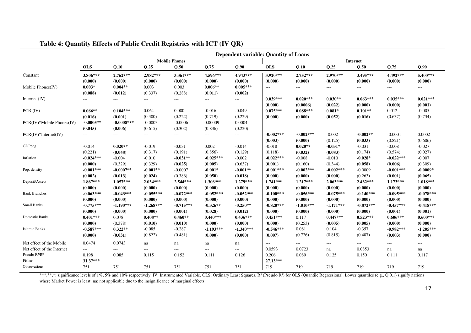|                                                                               |                                 |                         |                      |                      |                      |                       | <b>Dependent variable: Quantity of Loans</b> |                        |                      |                       |                       |                       |
|-------------------------------------------------------------------------------|---------------------------------|-------------------------|----------------------|----------------------|----------------------|-----------------------|----------------------------------------------|------------------------|----------------------|-----------------------|-----------------------|-----------------------|
|                                                                               |                                 |                         |                      | <b>Mobile Phones</b> |                      |                       | Internet                                     |                        |                      |                       |                       |                       |
|                                                                               | <b>OLS</b>                      | Q.10                    | Q.25                 | Q.50                 | Q.75                 | Q.90                  | <b>OLS</b>                                   | Q.10                   | Q.25                 | Q.50                  | Q.75                  | Q.90                  |
| Constant                                                                      | 3.806***                        | $2.762***$              | 2.982***             | $3.361***$           | 4.596***             | 4.943***              | $3.920***$                                   | $2.752***$             | $2.970***$           | 3.495***              | 4.492***              | 5.400***              |
|                                                                               | (0.000)                         | (0.000)                 | (0.000)              | (0.000)              | (0.000)              | (0.000)               | (0.000)                                      | (0.000)                | (0.000)              | (0.000)               | (0.000)               | (0.000)               |
| Mobile Phones(IV)                                                             | $0.003*$<br>(0.088)             | $0.004**$<br>(0.012)    | 0.003<br>(0.337)     | 0.003<br>(0.288)     | $0.006**$<br>(0.011) | $0.005***$<br>(0.002) | $---$                                        | $---$                  | $\cdots$             | $---$                 | $\cdots$              | $---$                 |
| Internet (IV)                                                                 | ---                             | $---$                   | $\qquad \qquad -$    | $---$                | $---$                | ---                   | $0.039***$<br>(0.000)                        | $0.020***$<br>(0.0006) | $0.030**$<br>(0.022) | $0.063***$<br>(0.000) | $0.035***$<br>(0.000) | $0.021***$<br>(0.001) |
| PCR (IV)                                                                      | $0.066**$                       | $0.104***$              | 0.064                | 0.080                | $-0.016$             | $-0.049$              | $0.075***$                                   | $0.088***$             | $0.081*$             | $0.101**$             | 0.012                 | $-0.005$              |
|                                                                               | (0.016)                         | (0.001)                 | (0.300)              | (0.222)              | (0.719)              | (0.229)               | (0.000)                                      | (0.000)                | (0.052)              | (0.016)               | (0.637)               | (0.734)               |
| PCR(IV)*Mobile Phones(IV)                                                     | $-0.0005**$<br>(0.045)          | $-0.0008***$<br>(0.006) | $-0.0003$<br>(0.615) | $-0.0006$<br>(0.302) | 0.00009<br>(0.836)   | 0.0004<br>(0.220)     | $---$                                        | $---$                  | $\cdots$             | $---$                 | $---$                 | $---$                 |
| $PCR$ (IV)*Internet(IV)                                                       | $---$                           | $\qquad \qquad - -$     | $---$                | $---$                | $---$                | $---$                 | $-0.002***$<br>(0.003)                       | $-0.002***$<br>(0.000) | $-0.002$<br>(0.125)  | $-0.002**$<br>(0.033) | $-0.0001$<br>(0.821)  | 0.0002<br>(0.606)     |
| GDPpcg                                                                        | $-0.014$                        | $0.020**$               | $-0.019$             | $-0.031$             | 0.002                | $-0.014$              | $-0.018$                                     | $0.020**$              | $-0.031*$            | $-0.031$              | $-0.008$              | $-0.027$              |
|                                                                               | (0.221)                         | (0.048)                 | (0.317)              | (0.191)              | (0.856)              | (0.129)               | (0.118)                                      | (0.032)                | (0.083)              | (0.174)               | (0.574)               | (0.027)               |
| Inflation                                                                     | $-0.024***$                     | $-0.004$                | $-0.010$             | $-0.031**$           | $-0.025***$          | $-0.002$              | $-0.022***$                                  | $-0.008$               | $-0.010$             | $-0.028*$             | $-0.022***$           | $-0.007$              |
|                                                                               | (0.000)                         | (0.329)                 | (0.329)              | (0.025)              | (0.005)              | (0.637)               | (0.001)                                      | (0.160)                | (0.344)              | (0.058)               | (0.006)               | (0.309)               |
| Pop. density                                                                  | $-0.001***$                     | $-0.0007**$             | $-0.001**$           | $-0.0007$            | $-0.001*$            | $-0.001**$            | $-0.001***$                                  | $-0.002***$            | $-0.002***$          | $-0.0009$             | $-0.001***$           | $-0.0009*$            |
|                                                                               | (0.002)                         | (0.013)                 | (0.024)              | (0.386)              | (0.050)              | (0.018)               | (0.000)                                      | (0.000)                | (0.000)              | (0.263)               | (0.001)               | (0.065)               |
| Deposit/Assets                                                                | $1.867***$                      | $1.057***$              | $2.034***$           | $2.544***$           | 1.306***             | $1.279***$            | $1.741***$                                   | $1.217***$             | $2.063***$           | $2.432***$            | $1.173***$            | $1.018***$            |
|                                                                               | (0.000)                         | (0.000)                 | (0.000)              | (0.000)              | (0.000)              | (0.000)               | (0.000)                                      | (0.000)                | (0.000)              | (0.000)               | (0.000)               | (0.000)               |
| <b>Bank Branches</b>                                                          | $-0.063***$                     | $-0.043***$             | $-0.055***$          | $-0.072***$          | $-0.052***$          | $-0.052***$           | $-0.100***$                                  | $-0.056***$            | $-0.075***$          | $-0.140***$           | $-0.095***$           | $-0.078***$           |
|                                                                               | (0.000)                         | (0.000)                 | (0.000)              | (0.000)              | (0.000)              | (0.000)               | (0.000)                                      | (0.000)                | (0.000)              | (0.000)               | (0.000)               | (0.000)               |
| Small Banks                                                                   | $-0.775***$                     | $-1.190***$             | $-1.268***$          | $-0.715***$          | $-0.326**$           | $-0.250**$            | $-0.820***$                                  | $-1.010***$            | $-1.171***$          | $-0.872***$           | $-0.457***$           | $-0.418***$           |
|                                                                               | (0.000)                         | (0.000)                 | (0.000)              | (0.001)              | (0.028)              | (0.012)               | (0.000)                                      | (0.000)                | (0.000)              | (0.000)               | (0.001)               | (0.001)               |
| Domestic Banks                                                                | $0.401***$                      | 0.078                   | $0.408**$            | $0.460**$            | $0.440***$           | $0.436***$            | $0.451***$                                   | 0.117                  | $0.447***$           | $0.523***$            | $0.606***$            | $0.600***$            |
|                                                                               | (0.000)                         | (0.378)                 | (0.010)              | (0.010)              | (0.000)              | (0.000)               | (0.000)                                      | (0.253)                | (0.005)              | (0.005)               | (0.000)               | (0.000)               |
| Islamic Banks                                                                 | $-0.587***$                     | $0.322**$               | $-0.085$             | $-0.287$             | $-1.193***$          | $-1.340***$           | $-0.546***$                                  | 0.081                  | 0.104                | $-0.357$              | $-0.982***$           | $-1.205***$           |
|                                                                               | (0.000)                         | (0.031)                 | (0.822)              | (0.481)              | (0.000)              | (0.000)               | (0.007)                                      | (0.726)                | (0.815)              | (0.487)               | (0.003)               | (0.000)               |
| Net effect of the Mobile                                                      | 0.0474                          | 0.0743                  | na                   | na                   | na                   | na                    | $---$                                        | $---$                  | $\cdots$             | $---$                 | $---$                 | $---$                 |
| Net effect of the Internet<br>Pseudo R <sup>2</sup> /R <sup>2</sup><br>Fisher | $\cdots$<br>0.198<br>$31.37***$ | $---$<br>0.085          | $\cdots$<br>0.115    | $\cdots$<br>0.152    | $---$<br>0.111       | $---$<br>0.126        | 0.0593<br>0.206<br>$27.13***$                | 0.0723<br>0.089        | na<br>0.125          | 0.0853<br>0.150       | na<br>0.111           | na<br>0.117           |
| Observations                                                                  | 751                             | 751                     | 751                  | 751                  | 751                  | 751                   | 719                                          | 719                    | 719                  | 719                   | 719                   | 719                   |

#### **Table 4: Quantity Effects of Public Credit Registries with ICT (IV QR)**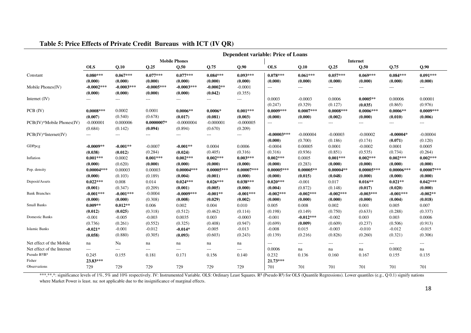|                                                 |                         |                         |                         |                         |                         |                         | <b>Dependent variable: Price of Loans</b> |                        |                        |                         |                         |                         |
|-------------------------------------------------|-------------------------|-------------------------|-------------------------|-------------------------|-------------------------|-------------------------|-------------------------------------------|------------------------|------------------------|-------------------------|-------------------------|-------------------------|
|                                                 |                         |                         |                         | <b>Mobile Phones</b>    |                         |                         |                                           |                        |                        | Internet                |                         |                         |
|                                                 | <b>OLS</b>              | Q.10                    | Q.25                    | Q.50                    | Q.75                    | Q.90                    | <b>OLS</b>                                | Q.10                   | Q.25                   | Q.50                    | Q.75                    | Q.90                    |
| Constant                                        | $0.080***$<br>(0.000)   | $0.067***$<br>(0.000)   | $0.077***$<br>(0.000)   | $0.077***$<br>(0.000)   | $0.084***$<br>(0.000)   | $0.093***$<br>(0.000)   | $0.078***$<br>(0.000)                     | $0.061***$<br>(0.000)  | $0.057***$<br>(0.000)  | $0.069***$<br>(0.000)   | $0.084***$<br>(0.000)   | $0.091***$<br>(0.000)   |
| Mobile Phones(IV)                               | $-0.0002***$<br>(0.000) | $-0.0003***$<br>(0.000) | $-0.0005***$<br>(0.000) | $-0.0003***$<br>(0.000) | $-0.0002**$<br>(0.042)  | $-0.0001$<br>(0.355)    | ---                                       | $\cdots$               | $\cdots$               | $---$                   | $---$                   | $---$                   |
| Internet $(IV)$                                 | ---                     | $\qquad \qquad - -$     | $---$                   | $\cdots$                | $---$                   | $---$                   | 0.0003<br>(0.247)                         | $-0.0003$<br>(0.329)   | 0.0006<br>(0.127)      | $0.0005**$<br>(0.035)   | 0.00006<br>(0.865)      | 0.00001<br>(0.976)      |
| $PCB$ (IV)                                      | $0.0008***$<br>(0.007)  | 0.0002<br>(0.540)       | 0.0001<br>(0.678)       | $0.0006**$<br>(0.017)   | $0.0006*$<br>(0.081)    | $0.001***$<br>(0.003)   | $0.0009***$<br>(0.000)                    | $0.0007***$<br>(0.000) | $0.0008***$<br>(0.002) | $0.0006***$<br>(0.000)  | $0.0006**$<br>(0.010)   | $0.0009***$<br>(0.006)  |
| PCB(IV)*Mobile Phones(IV)                       | $-0.000001$<br>(0.684)  | 0.000006<br>(0.142)     | $0.0000007*$<br>(0.094) | $-0.0000004$<br>(0.894) | $-0.000001$<br>(0.670)  | $-0.000005$<br>(0.209)  | $---$                                     | $\cdots$               | $\cdots$               | $\cdots$                | $---$                   | $---$                   |
| $PCB(IV)^*$ Internet(IV)                        | $\cdots$                | $\cdots$                | $---$                   | $\cdots$                | $\cdots$                | $---$                   | $-0.00003***$<br>(0.000)                  | $-0.000004$<br>(0.700) | $-0.00003$<br>(0.186)  | $-0.00002$<br>(0.174)   | $-0.00004*$<br>(0.071)  | $-0.00004$<br>(0.120)   |
| GDPpcg                                          | $-0.0009**$<br>(0.038)  | $-0.001**$<br>(0.012)   | $-0.0007$<br>(0.284)    | $-0.001**$<br>(0.024)   | 0.0004<br>(0.405)       | 0.0006<br>(0.316)       | $-0.0004$<br>(0.316)                      | 0.00005<br>(0.936)     | 0.0001<br>(0.851)      | $-0.0002$<br>(0.535)    | 0.0001<br>(0.734)       | 0.0005<br>(0.264)       |
| Inflation                                       | $0.001***$<br>(0.000)   | 0.0002<br>(0.620)       | $0.001***$<br>(0.000)   | $0.002***$<br>(0.000)   | $0.002***$<br>(0.000)   | $0.003***$<br>(0.000)   | $0.002***$<br>(0.000)                     | 0.0005<br>(0.283)      | $0.001***$<br>(0.000)  | $0.002***$<br>(0.000)   | $0.002***$<br>(0.000)   | $0.002***$<br>(0.000)   |
| Pop. density                                    | $0.00004***$<br>(0.000) | 0.00003<br>(0.103)      | 0.00003<br>(0.189)      | $0.00004***$<br>(0.004) | $0.00005***$<br>(0.001) | $0.00007***$<br>(0.000) | $0.00005***$<br>(0.000)                   | $0.00005**$<br>(0.015) | $0.00004**$<br>(0.048) | $0.00005***$<br>(0.000) | $0.00006***$<br>(0.000) | $0.00007***$<br>(0.000) |
| Deposit/Assets                                  | $0.022***$<br>(0.001)   | 0.008<br>(0.347)        | 0.014<br>(0.209)        | $0.024***$<br>(0.001)   | $0.026***$<br>(0.005)   | $0.038***$<br>(0.000)   | $0.020***$<br>(0.004)                     | $-0.001$<br>(0.872)    | 0.017<br>(0.148)       | $0.016**$<br>(0.017)    | $0.021**$<br>(0.020)    | $0.042***$<br>(0.000)   |
| <b>Bank Branches</b>                            | $-0.001***$<br>(0.000)  | $-0.001***$<br>(0.000)  | $-0.0004$<br>(0.308)    | $-0.0009***$<br>(0.008) | $-0.001**$<br>(0.029)   | $-0.001***$<br>(0.002)  | $-0.002***$<br>(0.000)                    | $-0.002***$<br>(0.000) | $-0.002***$<br>(0.000) | $-0.003***$<br>(0.000)  | $-0.001***$<br>(0.004)  | $-0.002**$<br>(0.018)   |
| Small Banks                                     | $0.009**$<br>(0.012)    | $0.012**$<br>(0.025)    | 0.006<br>(0.318)        | 0.002<br>(0.512)        | 0.004<br>(0.462)        | 0.010<br>(0.114)        | 0.005<br>(0.198)                          | 0.008<br>(0.149)       | 0.002<br>(0.750)       | 0.001<br>(0.633)        | 0.005<br>(0.288)        | 0.007<br>(0.337)        |
| Domestic Banks                                  | $-0.001$<br>(0.736)     | $-0.005$<br>(0.261)     | $-0.003$<br>(0.552)     | 0.0035<br>(0.325)       | 0.003<br>(0.408)        | $-0.0003$<br>(0.947)    | $-0.001$<br>(0.699)                       | $-0.012***$<br>(0.009) | $-0.002$<br>(0.609)    | 0.003<br>(0.237)        | 0.003<br>(0.506)        | 0.0006<br>(0.913)       |
| <b>Islamic Banks</b>                            | $-0.021*$<br>(0.058)    | $-0.001$<br>(0.880)     | $-0.012$<br>(0.305)     | $-0.014*$<br>(0.093)    | $-0.005$<br>(0.603)     | $-0.013$<br>(0.243)     | $-0.008$<br>(0.139)                       | 0.015<br>(0.216)       | $-0.003$<br>(0.826)    | $-0.010$<br>(0.260)     | $-0.012$<br>(0.321)     | $-0.015$<br>(0.306)     |
| Net effect of the Mobile                        | na                      | Na                      | na                      | na                      | na                      | na                      | ---                                       | $---$                  | $---$                  | $---$                   | $---$                   | ---                     |
| Net effect of the Internet                      | $\cdots$                | $\cdots$                | $---$                   | $---$                   | $---$                   | $---$                   | 0.0006                                    | na                     | na                     | na                      | 0.0002                  | na                      |
| Pseudo R <sup>2</sup> /R <sup>2</sup><br>Fisher | 0.245<br>23.83***       | 0.155                   | 0.181                   | 0.171                   | 0.156                   | 0.140                   | 0.232<br>$21.73***$                       | 0.136                  | 0.160                  | 0.167                   | 0.155                   | 0.135                   |
| Observations                                    | 729                     | 729                     | 729                     | 729                     | 729                     | 729                     | 701                                       | 701                    | 701                    | 701                     | 701                     | 701                     |

#### **Table 5: Price Effects of Private Credit Bureaus with ICT (IV QR)**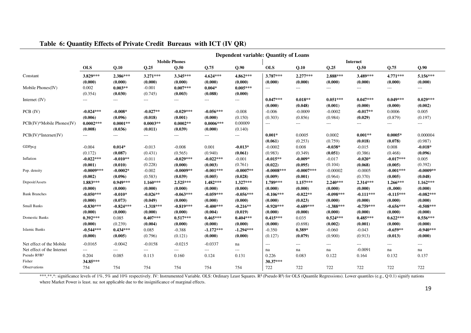|                                       |              |             |                     |                      |             |             | <b>Dependent variable: Quantity of Loans</b> |              |             |             |             |             |
|---------------------------------------|--------------|-------------|---------------------|----------------------|-------------|-------------|----------------------------------------------|--------------|-------------|-------------|-------------|-------------|
|                                       |              |             |                     | <b>Mobile Phones</b> |             |             |                                              |              |             | Internet    |             |             |
|                                       | <b>OLS</b>   | Q.10        | Q.25                | Q.50                 | Q.75        | Q.90        | <b>OLS</b>                                   | Q.10         | Q.25        | Q.50        | Q.75        | Q.90        |
| Constant                              | 3.829***     | 2.386***    | $3.271***$          | 3.345***             | $4.624***$  | 4.862***    | 3.787***                                     | $2.277***$   | 2.888***    | 3.489***    | $4.771***$  | 5.156***    |
|                                       | (0.000)      | (0.000)     | (0.000)             | (0.000)              | (0.000)     | (0.000)     | (0.000)                                      | (0.000)      | (0.000)     | (0.000)     | (0.000)     | (0.000)     |
| Mobile Phones(IV)                     | 0.002        | $0.003**$   | $-0.001$            | $0.007***$           | $0.004*$    | $0.005***$  | $---$                                        | $\cdots$     | $\cdots$    | $---$       | $\cdots$    | $---$       |
|                                       | (0.354)      | (0.030)     | (0.745)             | (0.003)              | (0.088)     | (0.000)     |                                              |              |             |             |             |             |
| Internet $(IV)$                       | $\cdots$     | $---$       | $\qquad \qquad - -$ | $---$                | $---$       | $---$       | $0.047***$                                   | $0.018**$    | $0.051***$  | $0.047***$  | $0.049***$  | $0.029***$  |
|                                       |              |             |                     |                      |             |             | (0.000)                                      | (0.048)      | (0.001)     | (0.000)     | (0.000)     | (0.002)     |
| PCB (IV)                              | $-0.024***$  | $-0.008*$   | $-0.027**$          | $-0.029***$          | $-0.056***$ | $-0.008$    | $-0.006$                                     | $-0.0009$    | $-0.0002$   | $-0.017**$  | 0.0006      | 0.005       |
|                                       | (0.006)      | (0.096)     | (0.018)             | (0.001)              | (0.000)     | (0.150)     | (0.303)                                      | (0.856)      | (0.984)     | (0.029)     | (0.879)     | (0.197)     |
| PCB(IV)*Mobile Phones(IV)             | $0.0002***$  | $0.0001**$  | $0.0003**$          | $0.0002**$           | $0.0006***$ | 0.00009     | $---$                                        | ---          | $\cdots$    | $---$       | $\cdots$    | $---$       |
|                                       | (0.008)      | (0.036)     | (0.011)             | (0.039)              | (0.000)     | (0.140)     |                                              |              |             |             |             |             |
| $PCB(IV)*Internet(IV)$                | $\cdots$     | $---$       | $---$               | $---$                | $---$       | $---$       | $0.001*$                                     | 0.0005       | 0.0002      | $0.001**$   | $0.0005*$   | 0.000004    |
|                                       |              |             |                     |                      |             |             | (0.061)                                      | (0.253)      | (0.759)     | (0.018)     | (0.078)     | (0.987)     |
| GDPpcg                                | $-0.004$     | $0.014*$    | $-0.013$            | $-0.008$             | 0.001       | $-0.013*$   | $-0.0002$                                    | 0.008        | $-0.038*$   | $-0.015$    | 0.008       | $-0.018*$   |
|                                       | (0.172)      | (0.087)     | (0.431)             | (0.565)              | (0.940)     | (0.061)     | (0.983)                                      | (0.349)      | (0.051)     | (0.386)     | (0.468)     | (0.096)     |
| Inflation                             | $-0.022***$  | $-0.010**$  | $-0.011$            | $-0.029***$          | $-0.022***$ | $-0.001$    | $-0.015**$                                   | $-0.009*$    | $-0.017$    | $-0.020*$   | $-0.017***$ | 0.005       |
|                                       | (0.001)      | (0.010)     | (0.228)             | (0.000)              | (0.003)     | (0.761)     | (0.022)                                      | (0.095)      | (0.104)     | (0.068)     | (0.005)     | (0.392)     |
| Pop. density                          | $-0.0009***$ | $-0.0002*$  | $-0.002$            | $-0.0009**$          | $-0.001***$ | $-0.0007**$ | $-0.0008***$                                 | $-0.0007***$ | $-0.00002$  | $-0.0005$   | $-0.001***$ | $-0.0009**$ |
|                                       | (0.002)      | (0.096)     | (0.583)             | (0.039)              | (0.005)     | (0.028)     | (0.009)                                      | (0.001)      | (0.964)     | (0.370)     | (0.005)     | (0.048)     |
| Deposit/Assets                        | 1.883***     | $0.949***$  | $1.160***$          | $2.525***$           | $1.482***$  | $1.327***$  | 1.789***                                     | $1.157***$   | $2.240***$  | 2.314***    | $1.266***$  | $1.162***$  |
|                                       | (0.000)      | (0.000)     | (0.000)             | (0.000)              | (0.000)     | (0.000)     | (0.000)                                      | (0.000)      | (0.000)     | (0.000)     | (0000)      | (0.000)     |
| <b>Bank Branches</b>                  | $-0.050***$  | $-0.010*$   | $-0.026**$          | $-0.063***$          | $-0.059***$ | $-0.056***$ | $-0.106***$                                  | $-0.022**$   | $-0.098***$ | $-0.111***$ | $-0.115***$ | $-0.082***$ |
|                                       | (0.000)      | (0.073)     | (0.049)             | (0.000)              | (0.000)     | (0.000)     | (0.000)                                      | (0.023)      | (0.000)     | (0.000)     | (0.000)     | (0.000)     |
| Small Banks                           | $-0.830***$  | $-0.824***$ | $-1.318***$         | $-0.819***$          | $-0.400***$ | $-0.216**$  | $-0.920***$                                  | $-0.689***$  | $-1.388***$ | $-0.759***$ | $-0.656***$ | $-0.508***$ |
|                                       | (0.000)      | (0.000)     | (0.000)             | (0.000)              | (0.004)     | (0.019)     | (0.000)                                      | (0.000)      | (0.000)     | (0.000)     | (0.000)     | (0.000)     |
| Domestic Banks                        | $0.392***$   | 0.085       | $0.407***$          | $0.517***$           | $0.465***$  | $0.404***$  | $0.415***$                                   | 0.035        | $0.524***$  | $0.485***$  | $0.622***$  | $0.556***$  |
|                                       | (0.000)      | (0.239)     | (0.004)             | (0.000)              | (0.000)     | (0.000)     | (0.000)                                      | (0.698)      | (0.002)     | (0.001)     | (0.000)     | (0.000)     |
| <b>Islamic Banks</b>                  | $-0.544***$  | $0.434***$  | 0.085               | $-0.388$             | $-1.172***$ | $-1.294***$ | $-0.350$                                     | $0.389*$     | $-0.060$    | $-0.043$    | $-0.659**$  | $-0.940***$ |
|                                       | (0.000)      | (0.005)     | (0.796)             | (0.121)              | (0.000)     | (0.000)     | (0.127)                                      | (0.079)      | (0.900)     | (0.913)     | (0.013)     | (0.000)     |
| Net effect of the Mobile              | $-0.0165$    | $-0.0042$   | $-0.0158$           | $-0.0215$            | $-0.0337$   | na          | $\cdots$                                     | $---$        | $- - -$     | $---$       | $\cdots$    | $---$       |
| Net effect of the Internet            | $---$        | $---$       | $\cdots$            | $---$                | $\cdots$    | $---$       | na                                           | na           | na          | $-0.0091$   | na          | na          |
| Pseudo R <sup>2</sup> /R <sup>2</sup> | 0.204        | 0.085       | 0.113               | 0.160                | 0.124       | 0.131       | 0.226                                        | 0.083        | 0.122       | 0.164       | 0.132       | 0.137       |
| Fisher                                | 34.85***     |             |                     |                      |             |             | $30.37***$                                   |              |             |             |             |             |
| Observations                          | 754          | 754         | 754                 | 754                  | 754         | 754         | 722                                          | 722          | 722         | 722         | 722         | 722         |

#### **Table 6: Quantity Effects of Private Credit Bureaus with ICT (IV QR)**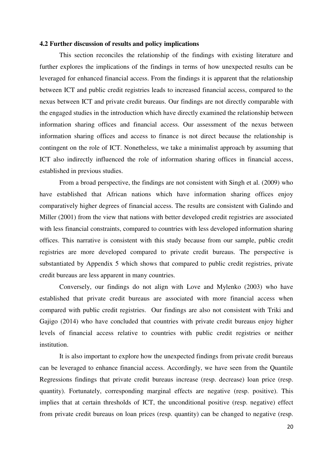#### **4.2 Further discussion of results and policy implications**

 This section reconciles the relationship of the findings with existing literature and further explores the implications of the findings in terms of how unexpected results can be leveraged for enhanced financial access. From the findings it is apparent that the relationship between ICT and public credit registries leads to increased financial access, compared to the nexus between ICT and private credit bureaus. Our findings are not directly comparable with the engaged studies in the introduction which have directly examined the relationship between information sharing offices and financial access. Our assessment of the nexus between information sharing offices and access to finance is not direct because the relationship is contingent on the role of ICT. Nonetheless, we take a minimalist approach by assuming that ICT also indirectly influenced the role of information sharing offices in financial access, established in previous studies.

 From a broad perspective, the findings are not consistent with Singh et al. (2009) who have established that African nations which have information sharing offices enjoy comparatively higher degrees of financial access. The results are consistent with Galindo and Miller (2001) from the view that nations with better developed credit registries are associated with less financial constraints, compared to countries with less developed information sharing offices. This narrative is consistent with this study because from our sample, public credit registries are more developed compared to private credit bureaus. The perspective is substantiated by Appendix 5 which shows that compared to public credit registries, private credit bureaus are less apparent in many countries.

 Conversely, our findings do not align with Love and Mylenko (2003) who have established that private credit bureaus are associated with more financial access when compared with public credit registries. Our findings are also not consistent with Triki and Gajigo (2014) who have concluded that countries with private credit bureaus enjoy higher levels of financial access relative to countries with public credit registries or neither institution.

 It is also important to explore how the unexpected findings from private credit bureaus can be leveraged to enhance financial access. Accordingly, we have seen from the Quantile Regressions findings that private credit bureaus increase (resp. decrease) loan price (resp. quantity). Fortunately, corresponding marginal effects are negative (resp. positive). This implies that at certain thresholds of ICT, the unconditional positive (resp. negative) effect from private credit bureaus on loan prices (resp. quantity) can be changed to negative (resp.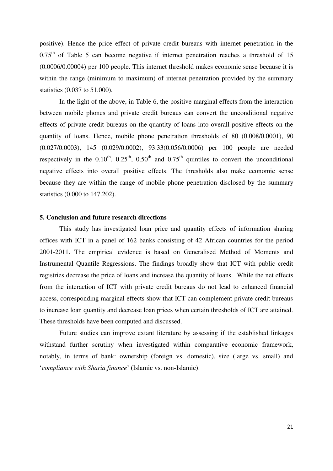positive). Hence the price effect of private credit bureaus with internet penetration in the  $0.75<sup>th</sup>$  of Table 5 can become negative if internet penetration reaches a threshold of 15 (0.0006/0.00004) per 100 people. This internet threshold makes economic sense because it is within the range (minimum to maximum) of internet penetration provided by the summary statistics (0.037 to 51.000).

 In the light of the above, in Table 6, the positive marginal effects from the interaction between mobile phones and private credit bureaus can convert the unconditional negative effects of private credit bureaus on the quantity of loans into overall positive effects on the quantity of loans. Hence, mobile phone penetration thresholds of 80 (0.008/0.0001), 90 (0.027/0.0003), 145 (0.029/0.0002), 93.33(0.056/0.0006) per 100 people are needed respectively in the  $0.10^{th}$ ,  $0.25^{th}$ ,  $0.50^{th}$  and  $0.75^{th}$  quintiles to convert the unconditional negative effects into overall positive effects. The thresholds also make economic sense because they are within the range of mobile phone penetration disclosed by the summary statistics (0.000 to 147.202).

#### **5. Conclusion and future research directions**

 This study has investigated loan price and quantity effects of information sharing offices with ICT in a panel of 162 banks consisting of 42 African countries for the period 2001-2011. The empirical evidence is based on Generalised Method of Moments and Instrumental Quantile Regressions. The findings broadly show that ICT with public credit registries decrease the price of loans and increase the quantity of loans. While the net effects from the interaction of ICT with private credit bureaus do not lead to enhanced financial access, corresponding marginal effects show that ICT can complement private credit bureaus to increase loan quantity and decrease loan prices when certain thresholds of ICT are attained. These thresholds have been computed and discussed.

 Future studies can improve extant literature by assessing if the established linkages withstand further scrutiny when investigated within comparative economic framework, notably, in terms of bank: ownership (foreign vs. domestic), size (large vs. small) and '*compliance with Sharia finance*' (Islamic vs. non-Islamic).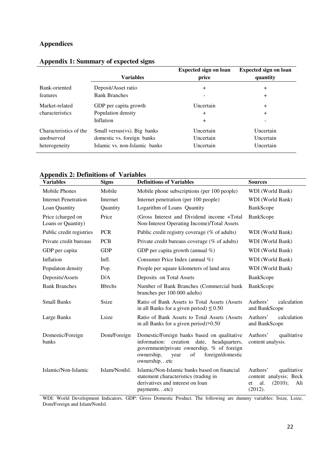#### **Appendices**

|                        | <b>Variables</b>                | <b>Expected sign on loan</b><br>price | <b>Expected sign on loan</b><br>quantity |
|------------------------|---------------------------------|---------------------------------------|------------------------------------------|
| Bank-oriented          | Deposit/Asset ratio             | $+$                                   | $^{+}$                                   |
| <i>features</i>        | <b>Bank Branches</b>            |                                       | $+$                                      |
| Market-related         | GDP per capita growth           | Uncertain                             | $+$                                      |
| characteristics        | Population density              | $+$                                   | $+$                                      |
|                        | Inflation                       | $\ddot{}$                             |                                          |
| Characteristics of the | Small versus( $vs$ ). Big banks | Uncertain                             | Uncertain                                |
| unobserved             | domestic vs. foreign banks      | Uncertain                             | Uncertain                                |
| heterogeneity          | Islamic vs. non-Islamic banks   | Uncertain                             | Uncertain                                |

#### **Appendix 1: Summary of expected signs**

#### **Appendix 2: Definitions of Variables**

| <b>Variables</b>                        | <b>Signs</b>   | <b>Definitions of Variables</b>                                                                                                                                                                                 | <b>Sources</b>                                                                              |
|-----------------------------------------|----------------|-----------------------------------------------------------------------------------------------------------------------------------------------------------------------------------------------------------------|---------------------------------------------------------------------------------------------|
| Mobile Phones                           | Mobile         | Mobile phone subscriptions (per 100 people)                                                                                                                                                                     | WDI (World Bank)                                                                            |
| <b>Internet Penetration</b>             | Internet       | Internet penetration (per 100 people)                                                                                                                                                                           | WDI (World Bank)                                                                            |
| Loan Quantity                           | Quantity       | Logarithm of Loans Quantity                                                                                                                                                                                     | BankScope                                                                                   |
| Price (charged on<br>Loans or Quantity) | Price          | (Gross Interest and Dividend income +Total<br>Non-Interest Operating Income)/Total Assets                                                                                                                       | <b>BankScope</b>                                                                            |
| Public credit registries                | <b>PCR</b>     | Public credit registry coverage (% of adults)                                                                                                                                                                   | WDI (World Bank)                                                                            |
| Private credit bureaus                  | <b>PCB</b>     | Private credit bureaus coverage (% of adults)                                                                                                                                                                   | WDI (World Bank)                                                                            |
| GDP per capita                          | <b>GDP</b>     | GDP per capita growth (annual $\%$ )                                                                                                                                                                            | WDI (World Bank)                                                                            |
| Inflation                               | Infl.          | Consumer Price Index (annual %)                                                                                                                                                                                 | WDI (World Bank)                                                                            |
| Populaton density                       | Pop.           | People per square kilometers of land area                                                                                                                                                                       | WDI (World Bank)                                                                            |
| Deposits/Assets                         | D/A            | Deposits on Total Assets                                                                                                                                                                                        | BankScope                                                                                   |
| <b>Bank Branches</b>                    | <b>B</b> brchs | Number of Bank Branches (Commercial bank<br>branches per 100 000 adults)                                                                                                                                        | BankScope                                                                                   |
| <b>Small Banks</b>                      | Ssize          | Ratio of Bank Assets to Total Assets (Assets<br>in all Banks for a given period) $\leq 0.50$                                                                                                                    | calculation<br>Authors'<br>and BankScope                                                    |
| Large Banks                             | Lsize          | Ratio of Bank Assets to Total Assets (Assets<br>in all Banks for a given period $) > 0.50$                                                                                                                      | Authors'<br>calculation<br>and BankScope                                                    |
| Domestic/Foreign<br>banks               | Dom/Foreign    | Domestic/Foreign banks based on qualitative<br>creation<br>information:<br>date,<br>headquarters,<br>government/private ownership, % of foreign<br>ownership,<br>foreign/domestic<br>of<br>year<br>ownershipetc | Authors'<br>qualitative<br>content analysis.                                                |
| Islamic/Non-Islamic                     | Islam/NonIsl.  | Islamic/Non-Islamic banks based on financial<br>statement characteristics (trading in<br>derivatives and interest on loan<br>paymentsetc)                                                                       | Authors'<br>qualitative<br>content analysis; Beck<br>(2010);<br>al.<br>Ali<br>et<br>(2012). |

WDI: World Development Indicators. GDP: Gross Domestic Product. The following are dummy variables: Ssize, Lsize, Dom/Foreign and Islam/NonIsl.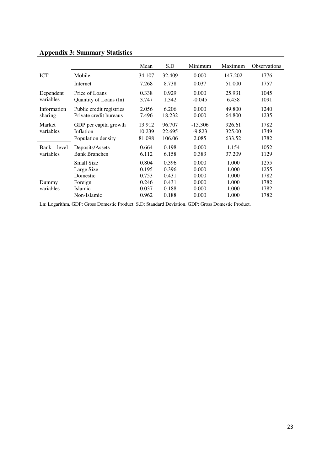#### **Appendix 3: Summary Statistics**

|                            |                                                                           | Mean                                               | S.D                                                | Minimum                                            | Maximum                                            | <b>Observations</b>                          |
|----------------------------|---------------------------------------------------------------------------|----------------------------------------------------|----------------------------------------------------|----------------------------------------------------|----------------------------------------------------|----------------------------------------------|
| <b>ICT</b>                 | Mobile                                                                    | 34.107                                             | 32.409                                             | 0.000                                              | 147.202                                            | 1776                                         |
|                            | Internet                                                                  | 7.268                                              | 8.738                                              | 0.037                                              | 51.000                                             | 1757                                         |
| Dependent<br>variables     | Price of Loans<br>Quantity of Loans (ln)                                  | 0.338<br>3.747                                     | 0.929<br>1.342                                     | 0.000<br>$-0.045$                                  | 25.931<br>6.438                                    | 1045<br>1091                                 |
| Information<br>sharing     | Public credit registries<br>Private credit bureaus                        | 2.056<br>7.496                                     | 6.206<br>18.232                                    | 0.000<br>0.000                                     | 49.800<br>64.800                                   | 1240<br>1235                                 |
| Market<br>variables        | GDP per capita growth<br>Inflation<br>Population density                  | 13.912<br>10.239<br>81.098                         | 96.707<br>22.695<br>106.06                         | $-15.306$<br>$-9.823$<br>2.085                     | 926.61<br>325.00<br>633.52                         | 1782<br>1749<br>1782                         |
| level<br>Bank<br>variables | Deposits/Assets<br><b>Bank Branches</b>                                   | 0.664<br>6.112                                     | 0.198<br>6.158                                     | 0.000<br>0.383                                     | 1.154<br>37.209                                    | 1052<br>1129                                 |
| Dummy<br>variables         | Small Size<br>Large Size<br>Domestic<br>Foreign<br>Islamic<br>Non-Islamic | 0.804<br>0.195<br>0.753<br>0.246<br>0.037<br>0.962 | 0.396<br>0.396<br>0.431<br>0.431<br>0.188<br>0.188 | 0.000<br>0.000<br>0.000<br>0.000<br>0.000<br>0.000 | 1.000<br>1.000<br>1.000<br>1.000<br>1.000<br>1.000 | 1255<br>1255<br>1782<br>1782<br>1782<br>1782 |

Ln: Logarithm. GDP: Gross Domestic Product. S.D: Standard Deviation. GDP: Gross Domestic Product.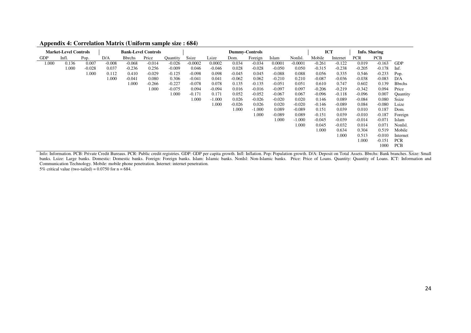|            | <b>Market-Level Controls</b> |          |          |                | <b>Bank-Level Controls</b> |          |           |          |          | <b>Dummy-Controls</b> |          |           |          | <b>ICT</b> | Info. Sharing |            |                |
|------------|------------------------------|----------|----------|----------------|----------------------------|----------|-----------|----------|----------|-----------------------|----------|-----------|----------|------------|---------------|------------|----------------|
| <b>GDP</b> | Infl.                        | Pop.     | D/A      | <b>B</b> brchs | Price                      | Quantity | Ssize     | Lsize    | Dom.     | Foreign               | Islam    | NonIsl.   | Mobile   | Internet   | <b>PCR</b>    | <b>PCB</b> |                |
| 1.000      | 0.136                        | 0.007    | $-0.008$ | $-0.068$       | $-0.014$                   | $-0.026$ | $-0.0002$ | 0.0002   | 0.034    | $-0.034$              | 0.0001   | $-0.0001$ | $-0.261$ | $-0.122$   | 0.019         | $-0.163$   | <b>GDP</b>     |
|            | 1.000                        | $-0.028$ | 0.037    | $-0.236$       | 0.256                      | $-0.009$ | 0.046     | $-0.046$ | 0.028    | $-0.028$              | $-0.050$ | 0.050     | $-0.315$ | $-0.238$   | $-0.205$      | $-0.178$   | Inf.           |
|            |                              | 1.000    | 0.112    | 0.410          | $-0.029$                   | $-0.125$ | $-0.098$  | 0.098    | $-0.045$ | 0.045                 | $-0.088$ | 0.088     | 0.056    | 0.335      | 0.546         | $-0.233$   | Pop.           |
|            |                              |          | 1.000    | $-0.041$       | 0.080                      | 0.306    | $-0.041$  | 0.041    | $-0.062$ | 0.062                 | $-0.210$ | 0.210     | $-0.087$ | $-0.036$   | $-0.038$      | $-0.083$   | D/A            |
|            |                              |          |          | 1.000          | $-0.266$                   | $-0.227$ | $-0.078$  | 0.078    | 0.135    | $-0.135$              | $-0.051$ | 0.051     | 0.610    | 0.747      | 0.602         | 0.139      | <b>B</b> brchs |
|            |                              |          |          |                | 1.000                      | $-0.075$ | 0.094     | $-0.094$ | 0.016    | $-0.016$              | $-0.097$ | 0.097     | $-0.206$ | $-0.219$   | $-0.342$      | 0.094      | Price          |
|            |                              |          |          |                |                            | 1.000    | $-0.171$  | 0.171    | 0.052    | $-0.052$              | $-0.067$ | 0.067     | $-0.096$ | $-0.118$   | $-0.096$      | 0.007      | Quantity       |
|            |                              |          |          |                |                            |          | 1.000     | $-1.000$ | 0.026    | $-0.026$              | $-0.020$ | 0.020     | 0.146    | 0.089      | $-0.084$      | 0.080      | Ssize          |
|            |                              |          |          |                |                            |          |           | 1.000    | $-0.026$ | 0.026                 | 0.020    | $-0.020$  | $-0.146$ | $-0.089$   | 0.084         | $-0.080$   | Lsize          |
|            |                              |          |          |                |                            |          |           |          | 1.000    | $-1.000$              | 0.089    | $-0.089$  | 0.151    | 0.039      | 0.010         | 0.187      | Dom.           |
|            |                              |          |          |                |                            |          |           |          |          | 1.000                 | $-0.089$ | 0.089     | $-0.151$ | 0.039      | $-0.010$      | $-0.187$   | Foreign        |
|            |                              |          |          |                |                            |          |           |          |          |                       | 1.000    | $-1.000$  | $-0.045$ | $-0.039$   | $-0.014$      | $-0.071$   | Islam          |
|            |                              |          |          |                |                            |          |           |          |          |                       |          | 1.000     | 0.045    | $-0.032$   | 0.014         | 0.071      | NonIsl.        |
|            |                              |          |          |                |                            |          |           |          |          |                       |          |           | 1.000    | 0.634      | 0.304         | 0.519      | Mobile         |
|            |                              |          |          |                |                            |          |           |          |          |                       |          |           |          | 1.000      | 0.513         | $-0.010$   | Internet       |
|            |                              |          |          |                |                            |          |           |          |          |                       |          |           |          |            | 1.000         | $-0.151$   | <b>PCR</b>     |
|            |                              |          |          |                |                            |          |           |          |          |                       |          |           |          |            |               | 1000       | <b>PCB</b>     |

#### **Appendix 4: Correlation Matrix (Uniform sample size : 684)**

Info: Information. PCB: Private Credit Bureaus. PCR: Public credit registries. GDP: GDP per capita growth. Infl: Inflation. Pop: Population growth. D/A: Deposit on Total Assets. Bbrchs: Bank branches. Szize: Small banks. Lsize: Large banks. Domestic: Domestic banks. Foreign: Foreign banks. Islami: Islamic banks. NonIsl: Non-Islamic banks. Price: Price of Loans. Quantity: Quantity of Loans. ICT: Information and Communication Technology. Mobile: mobile phone penetration. Internet: internet penetration.

5% critical value (two-tailed) =  $0.0750$  for  $n = 684$ .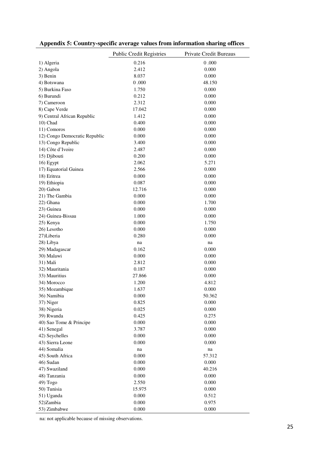|                               | <b>Public Credit Registries</b> | Private Credit Bureaus |
|-------------------------------|---------------------------------|------------------------|
| 1) Algeria                    | 0.216                           | 0.000                  |
| 2) Angola                     | 2.412                           | 0.000                  |
| 3) Benin                      | 8.037                           | 0.000                  |
| 4) Botswana                   | 0.000                           | 48.150                 |
| 5) Burkina Faso               | 1.750                           | 0.000                  |
| 6) Burundi                    | 0.212                           | 0.000                  |
| 7) Cameroon                   | 2.312                           | 0.000                  |
| 8) Cape Verde                 | 17.042                          | 0.000                  |
| 9) Central African Republic   | 1.412                           | 0.000                  |
| 10) Chad                      | 0.400                           | 0.000                  |
| 11) Comoros                   | 0.000                           | 0.000                  |
| 12) Congo Democratic Republic | 0.000                           | 0.000                  |
| 13) Congo Republic            | 3.400                           | 0.000                  |
| 14) Côte d'Ivoire             | 2.487                           | 0.000                  |
| 15) Djibouti                  | 0.200                           | 0.000                  |
| 16) Egypt                     | 2.062                           | 5.271                  |
| 17) Equatorial Guinea         | 2.566                           | 0.000                  |
| 18) Eritrea                   | 0.000                           | 0.000                  |
| 19) Ethiopia                  | 0.087                           | 0.000                  |
|                               | 12.716                          |                        |
| 20) Gabon                     | 0.000                           | 0.000                  |
| 21) The Gambia                |                                 | 0.000                  |
| 22) Ghana                     | 0.000                           | 1.700                  |
| 23) Guinea                    | 0.000                           | 0.000                  |
| 24) Guinea-Bissau             | 1.000                           | 0.000                  |
| 25) Kenya                     | 0.000                           | 1.750                  |
| 26) Lesotho                   | 0.000                           | 0.000                  |
| 27)Liberia                    | 0.280                           | 0.000                  |
| 28) Libya                     | na                              | na                     |
| 29) Madagascar                | 0.162                           | 0.000                  |
| 30) Malawi                    | 0.000                           | 0.000                  |
| 31) Mali                      | 2.812                           | 0.000                  |
| 32) Mauritania                | 0.187                           | 0.000                  |
| 33) Mauritius                 | 27.866                          | 0.000                  |
| 34) Morocco                   | 1.200                           | 4.812                  |
| 35) Mozambique                | 1.637                           | 0.000                  |
| 36) Namibia                   | 0.000                           | 50.362                 |
| 37) Niger                     | 0.825                           | 0.000                  |
| 38) Nigeria                   | 0.025                           | 0.000                  |
| 39) Rwanda                    | 0.425                           | 0.275                  |
| 40) Sao Tome & Principe       | 0.000                           | 0.000                  |
| 41) Senegal                   | 3.787                           | 0.000                  |
| 42) Seychelles                | 0.000                           | 0.000                  |
| 43) Sierra Leone              | 0.000                           | 0.000                  |
| 44) Somalia                   | na                              | na                     |
| 45) South Africa              | 0.000                           | 57.312                 |
| 46) Sudan                     | 0.000                           | 0.000                  |
| 47) Swaziland                 | 0.000                           | 40.216                 |
| 48) Tanzania                  | 0.000                           | 0.000                  |
| 49) Togo                      | 2.550                           | 0.000                  |
| 50) Tunisia                   | 15.975                          | 0.000                  |
| 51) Uganda                    | 0.000                           | 0.512                  |
| 52)Zambia                     | 0.000                           | 0.975                  |
| 53) Zimbabwe                  | 0.000                           | 0.000                  |

**Appendix 5: Country-specific average values from information sharing offices** 

na: not applicable because of missing observations.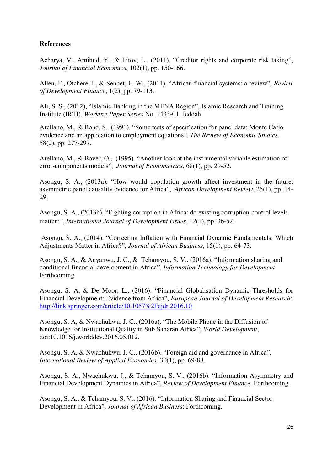#### **References**

Acharya, V., Amihud, Y., & Litov, L., (2011), "Creditor rights and corporate risk taking", *Journal of Financial Economics*, 102(1), pp. 150-166.

Allen, F., Otchere, I., & Senbet, L. W., (2011). "African financial systems: a review", *Review of Development Finance*, 1(2), pp. 79-113.

Ali, S. S., (2012), "Islamic Banking in the MENA Region", Islamic Research and Training Institute (IRTI), *Working Paper Series* No. 1433-01, Jeddah.

Arellano, M., & Bond, S., (1991). "Some tests of specification for panel data: Monte Carlo evidence and an application to employment equations". *The Review of Economic Studies*, 58(2), pp. 277-297.

Arellano, M., & Bover, O., (1995). "Another look at the instrumental variable estimation of error-components models", *Journal of Econometrics*, 68(1), pp. 29-52.

Asongu, S. A., (2013a), "How would population growth affect investment in the future: asymmetric panel causality evidence for Africa", *African Development Review*, 25(1), pp. 14- 29.

Asongu, S. A., (2013b). "Fighting corruption in Africa: do existing corruption-control levels matter?", *International Journal of Development Issues*, 12(1), pp. 36-52.

Asongu, S. A., (2014). "Correcting Inflation with Financial Dynamic Fundamentals: Which Adjustments Matter in Africa?", *Journal of African Business*, 15(1), pp. 64-73.

Asongu, S. A., & Anyanwu, J. C., & Tchamyou, S. V., (2016a). "Information sharing and conditional financial development in Africa", *Information Technology for Development*: Forthcoming.

Asongu, S. A, & De Moor, L., (2016). "Financial Globalisation Dynamic Thresholds for Financial Development: Evidence from Africa", *European Journal of Development Research*: <http://link.springer.com/article/10.1057%2Fejdr.2016.10>

Asongu, S. A, & Nwachukwu, J. C., (2016a). "The Mobile Phone in the Diffusion of Knowledge for Institutional Quality in Sub Saharan Africa", *World Development*, doi:10.1016/j.worlddev.2016.05.012.

Asongu, S. A, & Nwachukwu, J. C., (2016b). "Foreign aid and governance in Africa", *International Review of Applied Economics*, 30(1), pp. 69-88.

Asongu, S. A., Nwachukwu, J., & Tchamyou, S. V., (2016b). "Information Asymmetry and Financial Development Dynamics in Africa", *Review of Development Finance,* Forthcoming*.* 

Asongu, S. A., & Tchamyou, S. V., (2016). "Information Sharing and Financial Sector Development in Africa", *Journal of African Business*: Forthcoming.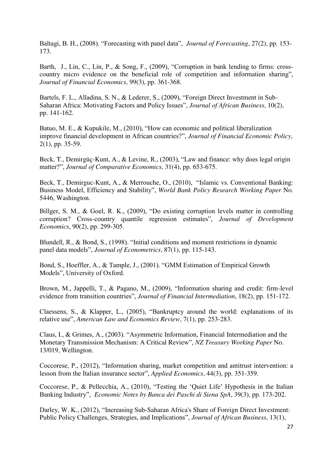Baltagi, B. H., (2008). "Forecasting with panel data", *Journal of Forecasting*, 27(2), pp. 153- 173.

Barth, J., Lin, C., Lin, P., & Song, F., (2009), "Corruption in bank lending to firms: crosscountry micro evidence on the beneficial role of competition and information sharing", *Journal of Financial Economics*, 99(3), pp. 361-368.

Bartels, F. L., Alladina, S. N., & Lederer, S., (2009), "Foreign Direct Investment in Sub-Saharan Africa: Motivating Factors and Policy Issues", *Journal of African Business*, 10(2), pp. 141-162.

Batuo, M. E., & Kupukile, M., (2010), "How can economic and political liberalization improve financial development in African countries?", *Journal of Financial Economic Policy*, 2(1), pp. 35-59.

Beck, T., Demirgüç-Kunt, A., & Levine, R., (2003), "Law and finance: why does legal origin matter?", *Journal of Comparative Economics*, 31(4), pp. 653-675.

Beck, T., Demirguc-Kunt, A., & Merrouche, O., (2010), "Islamic vs. Conventional Banking: Business Model, Efficiency and Stability", *World Bank Policy Research Working Paper* No. 5446, Washington.

Billger, S. M., & Goel, R. K., (2009), "Do existing corruption levels matter in controlling corruption? Cross-country quantile regression estimates", *Journal of Development Economics*, 90(2), pp. 299-305.

Blundell, R., & Bond, S., (1998). "Initial conditions and moment restrictions in dynamic panel data models", *Journal of Econometrics*, 87(1), pp. 115-143.

Bond, S., Hoeffler, A., & Tample, J., (2001). "GMM Estimation of Empirical Growth Models", University of Oxford.

Brown, M., Jappelli, T., & Pagano, M., (2009), "Information sharing and credit: firm-level evidence from transition countries", *Journal of Financial Intermediation*, 18(2), pp. 151-172.

Claessens, S., & Klapper, L., (2005), "Bankruptcy around the world: explanations of its relative use", *American Law and Economics Review*, 7(1), pp. 253-283.

Claus, I., & Grimes, A., (2003). "Asymmetric Information, Financial Intermediation and the Monetary Transmission Mechanism: A Critical Review", *NZ Treasury Working Paper* No. 13/019, Wellington.

Coccorese, P., (2012), "Information sharing, market competition and antitrust intervention: a lesson from the Italian insurance sector", *Applied Economics*, 44(3), pp. 351-359.

Coccorese, P., & Pellecchia, A., (2010), "Testing the 'Quiet Life' Hypothesis in the Italian Banking Industry", *Economic Notes by Banca dei Paschi di Siena SpA*, 39(3), pp. 173-202.

Darley, W. K., (2012), "Increasing Sub-Saharan Africa's Share of Foreign Direct Investment: Public Policy Challenges, Strategies, and Implications", *Journal of African Business*, 13(1),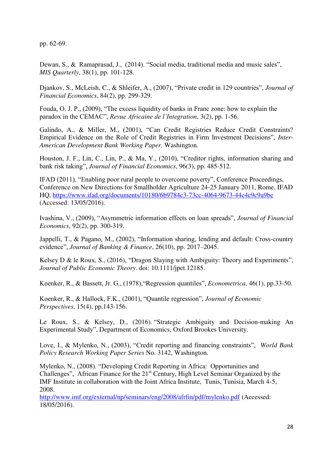pp. 62-69.

Dewan, S., & Ramaprasad, J., (2014). "Social media, traditional media and music sales", *MIS Quarterly*, 38(1), pp. 101-128.

Djankov, S., McLeish, C., & Shleifer, A., (2007), "Private credit in 129 countries", *Journal of Financial Economics*, 84(2), pp. 299-329.

Fouda, O. J. P., (2009), "The excess liquidity of banks in Franc zone: how to explain the paradox in the CEMAC", *Revue Africaine de l'Integration*, 3(2), pp. 1-56.

Galindo, A., & Miller, M., (2001), "Can Credit Registries Reduce Credit Constraints? Empirical Evidence on the Role of Credit Registries in Firm Investment Decisions", *Inter-American Development Bank Working Paper,* Washington.

Houston, J. F., Lin, C., Lin, P., & Ma, Y., (2010), "Creditor rights, information sharing and bank risk taking", *Journal of Financial Economics*, 96(3), pp. 485-512.

IFAD (2011). "Enabling poor rural people to overcome poverty", Conference Proceedings, Conference on New Directions for Smallholder Agriculture 24-25 January 2011, Rome, IFAD HQ,<https://www.ifad.org/documents/10180/6b9784c3-73cc-4064-9673-44c4c9c9a9be> (Accessed: 13/05/2016).

Ivashina, V., (2009), "Asymmetric information effects on loan spreads", *Journal of Financial Economics*, 92(2), pp. 300-319.

Jappelli, T., & Pagano, M., (2002), "Information sharing, lending and default: Cross-country evidence", *Journal of Banking & Finance*, 26(10), pp. 2017–2045.

Kelsey D & le Roux, S., (2016), "Dragon Slaving with Ambiguity: Theory and Experiments", *Journal of Public Economic Theory*. doi: 10.1111/jpet.12185.

Koenker, R., & Bassett, Jr. G., (1978),"Regression quantiles", *Econometrica*, 46(1), pp.33-50.

Koenker, R., & Hallock, F.K., (2001), "Quantile regression", *Journal of Economic Perspectives*, 15(4), pp.143-156.

Le Roux, S., & Kelsey, D., (2016). "Strategic Ambiguity and Decision-making An Experimental Study", Department of Economics, Oxford Brookes University.

Love, I., & Mylenko, N., (2003), "Credit reporting and financing constraints", *World Bank Policy Research Working Paper Series* No. 3142, Washington.

Mylenko, N., (2008). "Developing Credit Reporting in Africa: Opportunities and Challenges", African Finance for the 21<sup>st</sup> Century, High Level Seminar Organized by the IMF Institute in collaboration with the Joint Africa Institute, Tunis, Tunisia, March 4-5, 2008.

<http://www.imf.org/external/np/seminars/eng/2008/afrfin/pdf/mylenko.pdf>(Accessed: 18/05/2016).